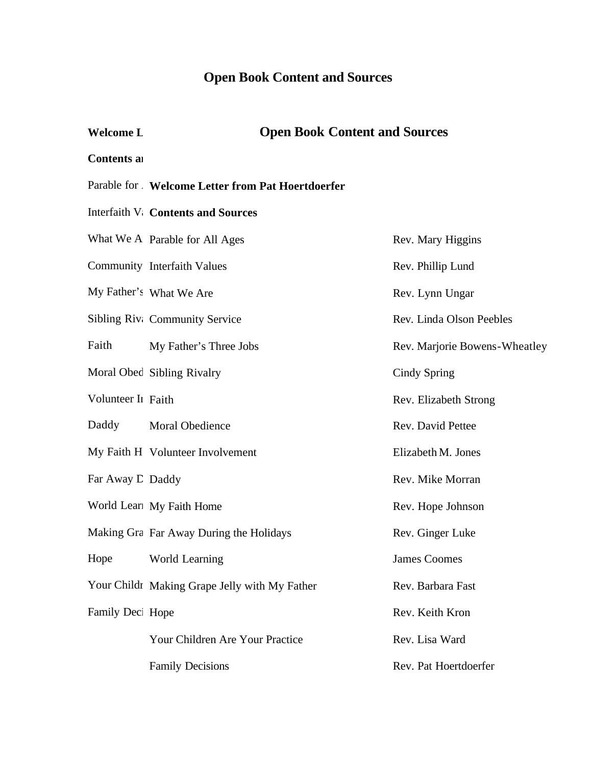# **Open Book Content and Sources**

#### **Welcome L**

# **Open Book Content and Sources**

#### **Contents and**

#### Parable for All **Welcome Letter from Pat Hoertdoerfer**

#### Interfaith V: Contents and Sources

|                    | What We A Parable for All Ages                | Rev. Mary Higgins             |
|--------------------|-----------------------------------------------|-------------------------------|
|                    | Community Interfaith Values                   | Rev. Phillip Lund             |
|                    | My Father's What We Are                       | Rev. Lynn Ungar               |
|                    | Sibling Riv: Community Service                | Rev. Linda Olson Peebles      |
| Faith              | My Father's Three Jobs                        | Rev. Marjorie Bowens-Wheatley |
|                    | Moral Obed Sibling Rivalry                    | Cindy Spring                  |
| Volunteer In Faith |                                               | Rev. Elizabeth Strong         |
| Daddy              | <b>Moral Obedience</b>                        | Rev. David Pettee             |
|                    | My Faith H Volunteer Involvement              | Elizabeth M. Jones            |
| Far Away D Daddy   |                                               | Rev. Mike Morran              |
|                    | World Learl My Faith Home                     | Rev. Hope Johnson             |
|                    | Making Gra Far Away During the Holidays       | Rev. Ginger Luke              |
| Hope               | World Learning                                | <b>James Coomes</b>           |
|                    | Your Childr Making Grape Jelly with My Father | Rev. Barbara Fast             |
| Family Deci Hope   |                                               | Rev. Keith Kron               |
|                    | Your Children Are Your Practice               | Rev. Lisa Ward                |
|                    | <b>Family Decisions</b>                       | Rev. Pat Hoertdoerfer         |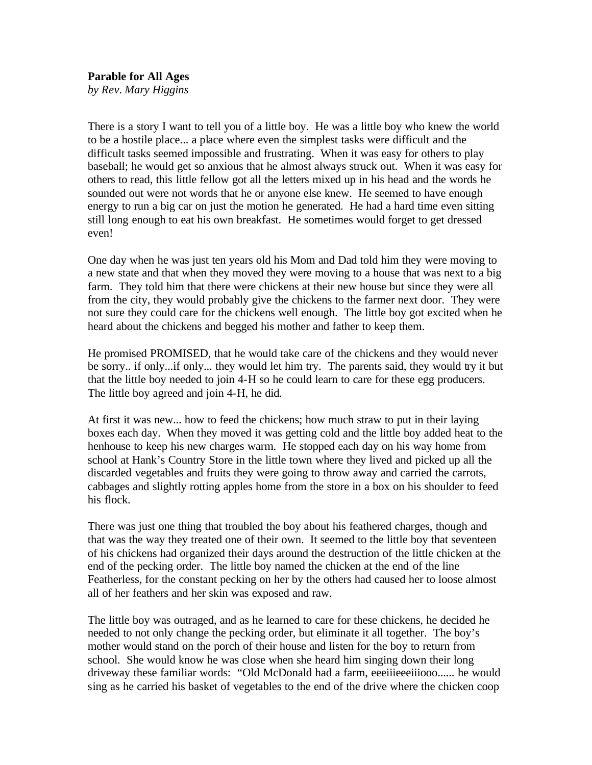## **Parable for All Ages**

*by Rev. Mary Higgins*

There is a story I want to tell you of a little boy. He was a little boy who knew the world to be a hostile place... a place where even the simplest tasks were difficult and the difficult tasks seemed impossible and frustrating. When it was easy for others to play baseball; he would get so anxious that he almost always struck out. When it was easy for others to read, this little fellow got all the letters mixed up in his head and the words he sounded out were not words that he or anyone else knew. He seemed to have enough energy to run a big car on just the motion he generated. He had a hard time even sitting still long enough to eat his own breakfast. He sometimes would forget to get dressed even!

One day when he was just ten years old his Mom and Dad told him they were moving to a new state and that when they moved they were moving to a house that was next to a big farm. They told him that there were chickens at their new house but since they were all from the city, they would probably give the chickens to the farmer next door. They were not sure they could care for the chickens well enough. The little boy got excited when he heard about the chickens and begged his mother and father to keep them.

He promised PROMISED, that he would take care of the chickens and they would never be sorry.. if only...if only... they would let him try. The parents said, they would try it but that the little boy needed to join 4-H so he could learn to care for these egg producers. The little boy agreed and join 4-H, he did.

At first it was new... how to feed the chickens; how much straw to put in their laying boxes each day. When they moved it was getting cold and the little boy added heat to the henhouse to keep his new charges warm. He stopped each day on his way home from school at Hank's Country Store in the little town where they lived and picked up all the discarded vegetables and fruits they were going to throw away and carried the carrots, cabbages and slightly rotting apples home from the store in a box on his shoulder to feed his flock.

There was just one thing that troubled the boy about his feathered charges, though and that was the way they treated one of their own. It seemed to the little boy that seventeen of his chickens had organized their days around the destruction of the little chicken at the end of the pecking order. The little boy named the chicken at the end of the line Featherless, for the constant pecking on her by the others had caused her to loose almost all of her feathers and her skin was exposed and raw.

The little boy was outraged, and as he learned to care for these chickens, he decided he needed to not only change the pecking order, but eliminate it all together. The boy's mother would stand on the porch of their house and listen for the boy to return from school. She would know he was close when she heard him singing down their long driveway these familiar words: "Old McDonald had a farm, eeeiiieeeiiiooo...... he would sing as he carried his basket of vegetables to the end of the drive where the chicken coop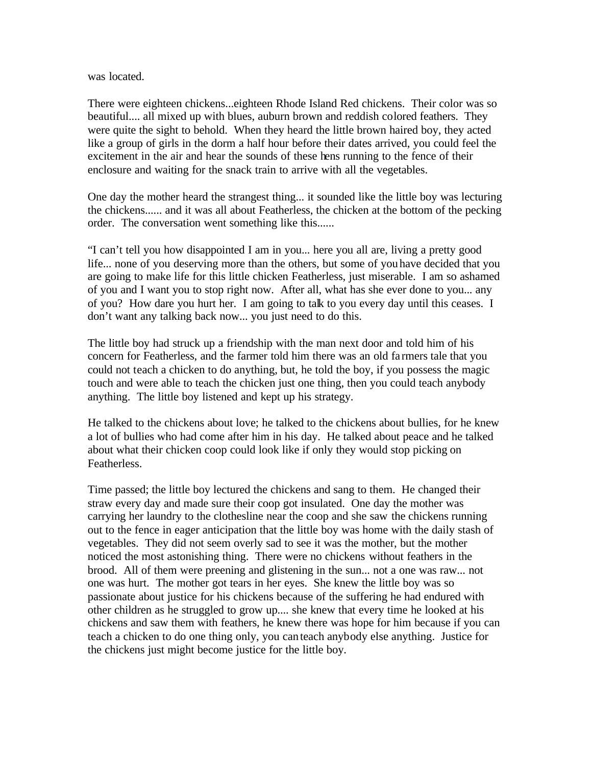was located.

There were eighteen chickens...eighteen Rhode Island Red chickens. Their color was so beautiful.... all mixed up with blues, auburn brown and reddish colored feathers. They were quite the sight to behold. When they heard the little brown haired boy, they acted like a group of girls in the dorm a half hour before their dates arrived, you could feel the excitement in the air and hear the sounds of these hens running to the fence of their enclosure and waiting for the snack train to arrive with all the vegetables.

One day the mother heard the strangest thing... it sounded like the little boy was lecturing the chickens...... and it was all about Featherless, the chicken at the bottom of the pecking order. The conversation went something like this......

"I can't tell you how disappointed I am in you... here you all are, living a pretty good life... none of you deserving more than the others, but some of you have decided that you are going to make life for this little chicken Featherless, just miserable. I am so ashamed of you and I want you to stop right now. After all, what has she ever done to you... any of you? How dare you hurt her. I am going to talk to you every day until this ceases. I don't want any talking back now... you just need to do this.

The little boy had struck up a friendship with the man next door and told him of his concern for Featherless, and the farmer told him there was an old fa rmers tale that you could not teach a chicken to do anything, but, he told the boy, if you possess the magic touch and were able to teach the chicken just one thing, then you could teach anybody anything. The little boy listened and kept up his strategy.

He talked to the chickens about love; he talked to the chickens about bullies, for he knew a lot of bullies who had come after him in his day. He talked about peace and he talked about what their chicken coop could look like if only they would stop picking on Featherless.

Time passed; the little boy lectured the chickens and sang to them. He changed their straw every day and made sure their coop got insulated. One day the mother was carrying her laundry to the clothesline near the coop and she saw the chickens running out to the fence in eager anticipation that the little boy was home with the daily stash of vegetables. They did not seem overly sad to see it was the mother, but the mother noticed the most astonishing thing. There were no chickens without feathers in the brood. All of them were preening and glistening in the sun... not a one was raw... not one was hurt. The mother got tears in her eyes. She knew the little boy was so passionate about justice for his chickens because of the suffering he had endured with other children as he struggled to grow up.... she knew that every time he looked at his chickens and saw them with feathers, he knew there was hope for him because if you can teach a chicken to do one thing only, you can teach anybody else anything. Justice for the chickens just might become justice for the little boy.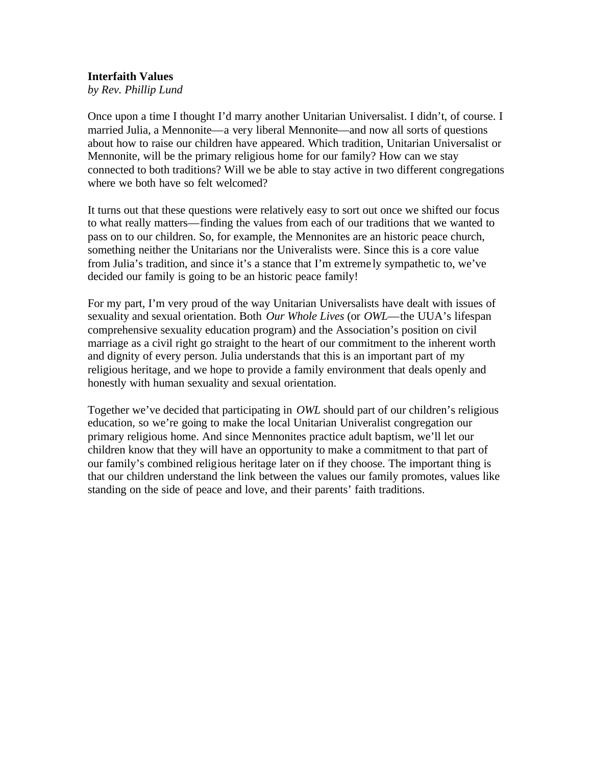#### **Interfaith Values**

*by Rev. Phillip Lund*

Once upon a time I thought I'd marry another Unitarian Universalist. I didn't, of course. I married Julia, a Mennonite—a very liberal Mennonite—and now all sorts of questions about how to raise our children have appeared. Which tradition, Unitarian Universalist or Mennonite, will be the primary religious home for our family? How can we stay connected to both traditions? Will we be able to stay active in two different congregations where we both have so felt welcomed?

It turns out that these questions were relatively easy to sort out once we shifted our focus to what really matters—finding the values from each of our traditions that we wanted to pass on to our children. So, for example, the Mennonites are an historic peace church, something neither the Unitarians nor the Univeralists were. Since this is a core value from Julia's tradition, and since it's a stance that I'm extreme ly sympathetic to, we've decided our family is going to be an historic peace family!

For my part, I'm very proud of the way Unitarian Universalists have dealt with issues of sexuality and sexual orientation. Both *Our Whole Lives* (or *OWL*—the UUA's lifespan comprehensive sexuality education program) and the Association's position on civil marriage as a civil right go straight to the heart of our commitment to the inherent worth and dignity of every person. Julia understands that this is an important part of my religious heritage, and we hope to provide a family environment that deals openly and honestly with human sexuality and sexual orientation.

Together we've decided that participating in *OWL* should part of our children's religious education, so we're going to make the local Unitarian Univeralist congregation our primary religious home. And since Mennonites practice adult baptism, we'll let our children know that they will have an opportunity to make a commitment to that part of our family's combined religious heritage later on if they choose. The important thing is that our children understand the link between the values our family promotes, values like standing on the side of peace and love, and their parents' faith traditions.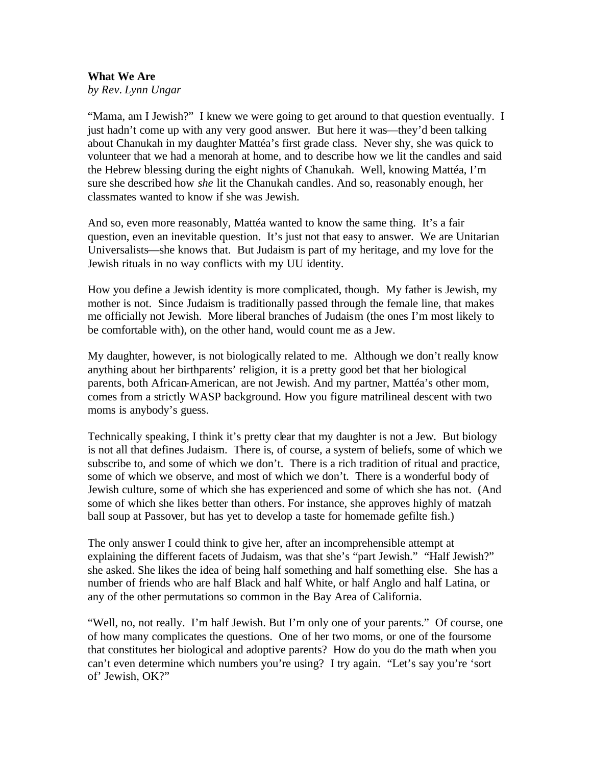# **What We Are**

*by Rev. Lynn Ungar*

"Mama, am I Jewish?" I knew we were going to get around to that question eventually. I just hadn't come up with any very good answer. But here it was—they'd been talking about Chanukah in my daughter Mattéa's first grade class. Never shy, she was quick to volunteer that we had a menorah at home, and to describe how we lit the candles and said the Hebrew blessing during the eight nights of Chanukah. Well, knowing Mattéa, I'm sure she described how *she* lit the Chanukah candles. And so, reasonably enough, her classmates wanted to know if she was Jewish.

And so, even more reasonably, Mattéa wanted to know the same thing. It's a fair question, even an inevitable question. It's just not that easy to answer. We are Unitarian Universalists—she knows that. But Judaism is part of my heritage, and my love for the Jewish rituals in no way conflicts with my UU identity.

How you define a Jewish identity is more complicated, though. My father is Jewish, my mother is not. Since Judaism is traditionally passed through the female line, that makes me officially not Jewish. More liberal branches of Judaism (the ones I'm most likely to be comfortable with), on the other hand, would count me as a Jew.

My daughter, however, is not biologically related to me. Although we don't really know anything about her birthparents' religion, it is a pretty good bet that her biological parents, both African-American, are not Jewish. And my partner, Mattéa's other mom, comes from a strictly WASP background. How you figure matrilineal descent with two moms is anybody's guess.

Technically speaking, I think it's pretty clear that my daughter is not a Jew. But biology is not all that defines Judaism. There is, of course, a system of beliefs, some of which we subscribe to, and some of which we don't. There is a rich tradition of ritual and practice, some of which we observe, and most of which we don't. There is a wonderful body of Jewish culture, some of which she has experienced and some of which she has not. (And some of which she likes better than others. For instance, she approves highly of matzah ball soup at Passover, but has yet to develop a taste for homemade gefilte fish.)

The only answer I could think to give her, after an incomprehensible attempt at explaining the different facets of Judaism, was that she's "part Jewish." "Half Jewish?" she asked. She likes the idea of being half something and half something else. She has a number of friends who are half Black and half White, or half Anglo and half Latina, or any of the other permutations so common in the Bay Area of California.

"Well, no, not really. I'm half Jewish. But I'm only one of your parents." Of course, one of how many complicates the questions. One of her two moms, or one of the foursome that constitutes her biological and adoptive parents? How do you do the math when you can't even determine which numbers you're using? I try again. "Let's say you're 'sort of' Jewish, OK?"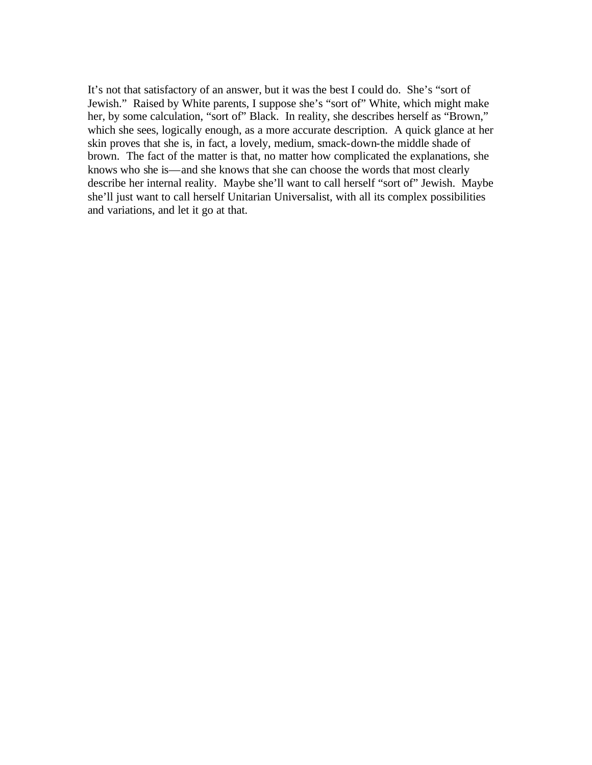It's not that satisfactory of an answer, but it was the best I could do. She's "sort of Jewish." Raised by White parents, I suppose she's "sort of" White, which might make her, by some calculation, "sort of" Black. In reality, she describes herself as "Brown," which she sees, logically enough, as a more accurate description. A quick glance at her skin proves that she is, in fact, a lovely, medium, smack-down-the middle shade of brown. The fact of the matter is that, no matter how complicated the explanations, she knows who she is—and she knows that she can choose the words that most clearly describe her internal reality. Maybe she'll want to call herself "sort of" Jewish. Maybe she'll just want to call herself Unitarian Universalist, with all its complex possibilities and variations, and let it go at that.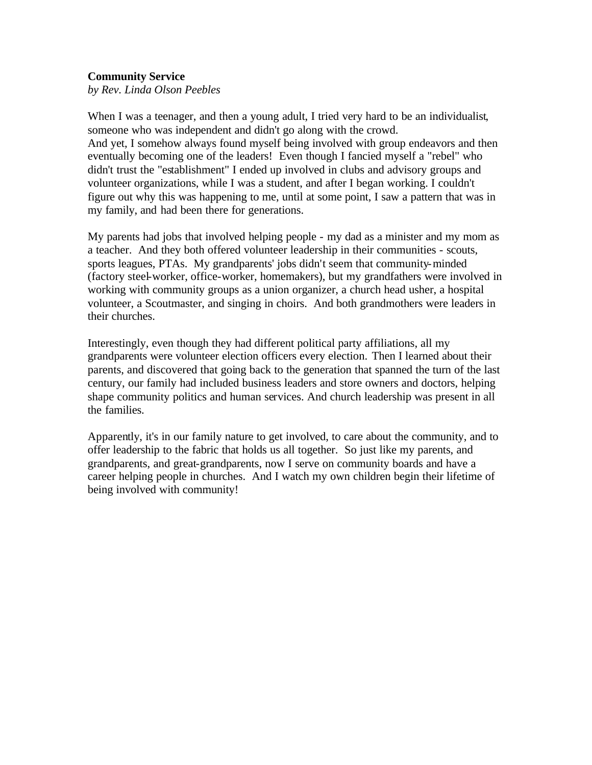#### **Community Service**

*by Rev. Linda Olson Peebles*

When I was a teenager, and then a young adult, I tried very hard to be an individualist, someone who was independent and didn't go along with the crowd. And yet, I somehow always found myself being involved with group endeavors and then eventually becoming one of the leaders! Even though I fancied myself a "rebel" who didn't trust the "establishment" I ended up involved in clubs and advisory groups and volunteer organizations, while I was a student, and after I began working. I couldn't figure out why this was happening to me, until at some point, I saw a pattern that was in my family, and had been there for generations.

My parents had jobs that involved helping people - my dad as a minister and my mom as a teacher. And they both offered volunteer leadership in their communities - scouts, sports leagues, PTAs. My grandparents' jobs didn't seem that community-minded (factory steel-worker, office-worker, homemakers), but my grandfathers were involved in working with community groups as a union organizer, a church head usher, a hospital volunteer, a Scoutmaster, and singing in choirs. And both grandmothers were leaders in their churches.

Interestingly, even though they had different political party affiliations, all my grandparents were volunteer election officers every election. Then I learned about their parents, and discovered that going back to the generation that spanned the turn of the last century, our family had included business leaders and store owners and doctors, helping shape community politics and human services. And church leadership was present in all the families.

Apparently, it's in our family nature to get involved, to care about the community, and to offer leadership to the fabric that holds us all together. So just like my parents, and grandparents, and great-grandparents, now I serve on community boards and have a career helping people in churches. And I watch my own children begin their lifetime of being involved with community!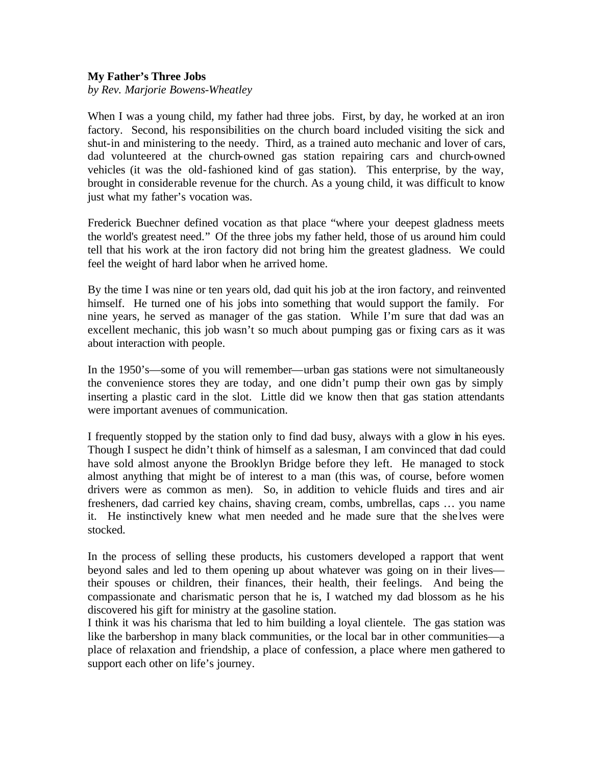#### **My Father's Three Jobs**

*by Rev. Marjorie Bowens-Wheatley* 

When I was a young child, my father had three jobs. First, by day, he worked at an iron factory. Second, his responsibilities on the church board included visiting the sick and shut-in and ministering to the needy. Third, as a trained auto mechanic and lover of cars, dad volunteered at the church-owned gas station repairing cars and church-owned vehicles (it was the old-fashioned kind of gas station). This enterprise, by the way, brought in considerable revenue for the church. As a young child, it was difficult to know just what my father's vocation was.

Frederick Buechner defined vocation as that place "where your deepest gladness meets the world's greatest need." Of the three jobs my father held, those of us around him could tell that his work at the iron factory did not bring him the greatest gladness. We could feel the weight of hard labor when he arrived home.

By the time I was nine or ten years old, dad quit his job at the iron factory, and reinvented himself. He turned one of his jobs into something that would support the family. For nine years, he served as manager of the gas station. While I'm sure that dad was an excellent mechanic, this job wasn't so much about pumping gas or fixing cars as it was about interaction with people.

In the 1950's—some of you will remember—urban gas stations were not simultaneously the convenience stores they are today, and one didn't pump their own gas by simply inserting a plastic card in the slot. Little did we know then that gas station attendants were important avenues of communication.

I frequently stopped by the station only to find dad busy, always with a glow in his eyes. Though I suspect he didn't think of himself as a salesman, I am convinced that dad could have sold almost anyone the Brooklyn Bridge before they left. He managed to stock almost anything that might be of interest to a man (this was, of course, before women drivers were as common as men). So, in addition to vehicle fluids and tires and air fresheners, dad carried key chains, shaving cream, combs, umbrellas, caps … you name it. He instinctively knew what men needed and he made sure that the she lves were stocked.

In the process of selling these products, his customers developed a rapport that went beyond sales and led to them opening up about whatever was going on in their lives their spouses or children, their finances, their health, their feelings. And being the compassionate and charismatic person that he is, I watched my dad blossom as he his discovered his gift for ministry at the gasoline station.

I think it was his charisma that led to him building a loyal clientele. The gas station was like the barbershop in many black communities, or the local bar in other communities—a place of relaxation and friendship, a place of confession, a place where men gathered to support each other on life's journey.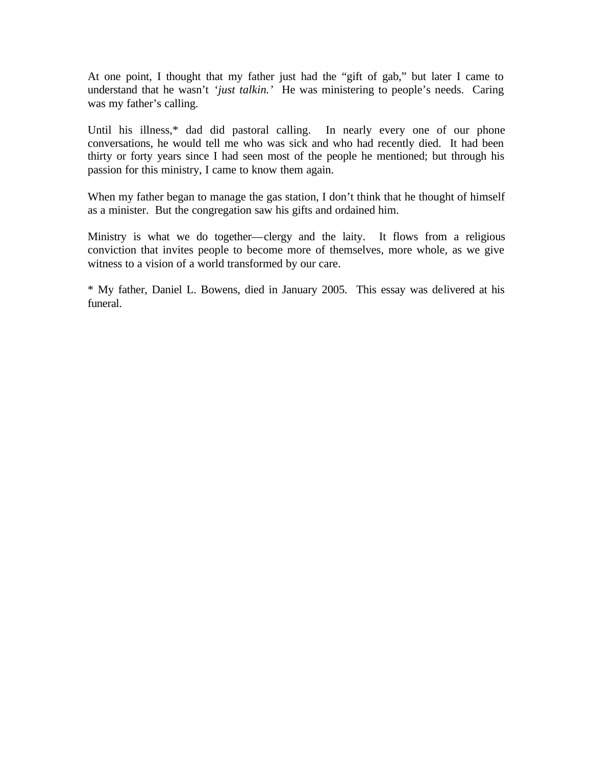At one point, I thought that my father just had the "gift of gab," but later I came to understand that he wasn't '*just talkin.'* He was ministering to people's needs. Caring was my father's calling.

Until his illness,\* dad did pastoral calling. In nearly every one of our phone conversations, he would tell me who was sick and who had recently died. It had been thirty or forty years since I had seen most of the people he mentioned; but through his passion for this ministry, I came to know them again.

When my father began to manage the gas station, I don't think that he thought of himself as a minister. But the congregation saw his gifts and ordained him.

Ministry is what we do together—clergy and the laity. It flows from a religious conviction that invites people to become more of themselves, more whole, as we give witness to a vision of a world transformed by our care.

\* My father, Daniel L. Bowens, died in January 2005. This essay was delivered at his funeral.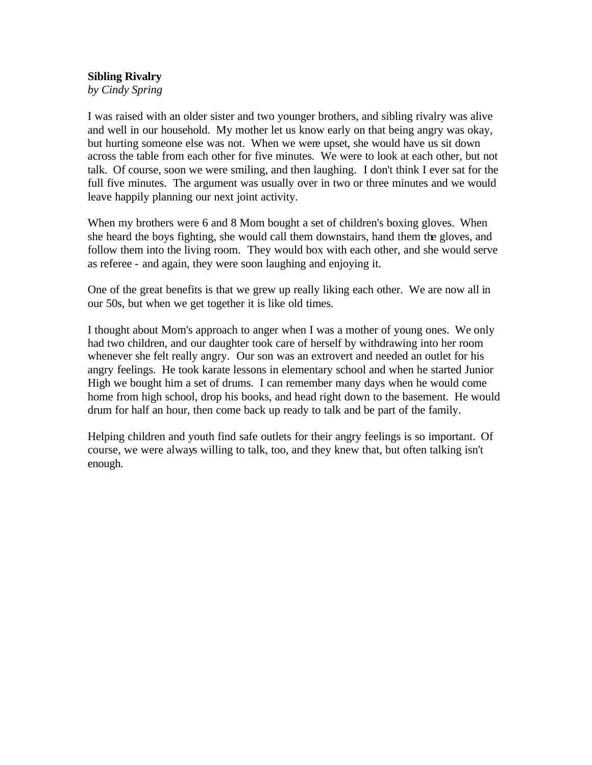### **Sibling Rivalry**

*by Cindy Spring*

I was raised with an older sister and two younger brothers, and sibling rivalry was alive and well in our household. My mother let us know early on that being angry was okay, but hurting someone else was not. When we were upset, she would have us sit down across the table from each other for five minutes. We were to look at each other, but not talk. Of course, soon we were smiling, and then laughing. I don't think I ever sat for the full five minutes. The argument was usually over in two or three minutes and we would leave happily planning our next joint activity.

When my brothers were 6 and 8 Mom bought a set of children's boxing gloves. When she heard the boys fighting, she would call them downstairs, hand them the gloves, and follow them into the living room. They would box with each other, and she would serve as referee - and again, they were soon laughing and enjoying it.

One of the great benefits is that we grew up really liking each other. We are now all in our 50s, but when we get together it is like old times.

I thought about Mom's approach to anger when I was a mother of young ones. We only had two children, and our daughter took care of herself by withdrawing into her room whenever she felt really angry. Our son was an extrovert and needed an outlet for his angry feelings. He took karate lessons in elementary school and when he started Junior High we bought him a set of drums. I can remember many days when he would come home from high school, drop his books, and head right down to the basement. He would drum for half an hour, then come back up ready to talk and be part of the family.

Helping children and youth find safe outlets for their angry feelings is so important. Of course, we were always willing to talk, too, and they knew that, but often talking isn't enough.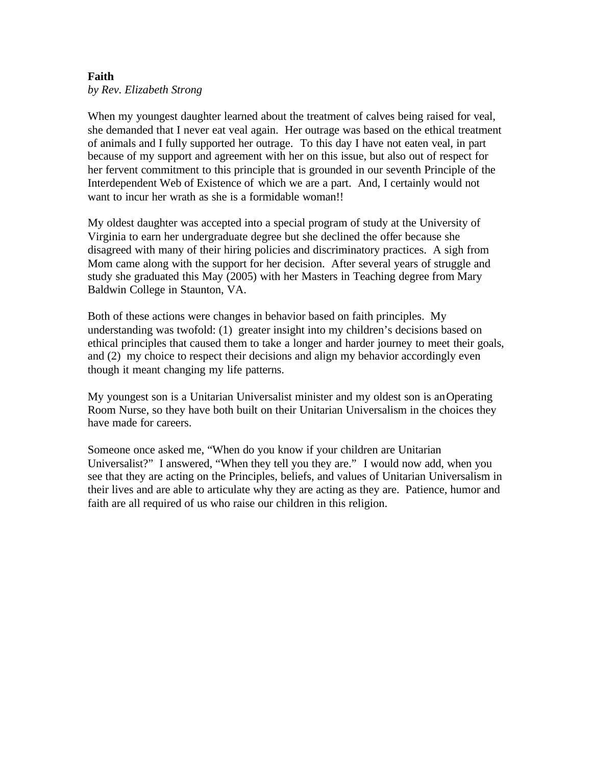### **Faith** *by Rev. Elizabeth Strong*

When my youngest daughter learned about the treatment of calves being raised for veal, she demanded that I never eat veal again. Her outrage was based on the ethical treatment of animals and I fully supported her outrage. To this day I have not eaten veal, in part because of my support and agreement with her on this issue, but also out of respect for her fervent commitment to this principle that is grounded in our seventh Principle of the Interdependent Web of Existence of which we are a part. And, I certainly would not want to incur her wrath as she is a formidable woman!!

My oldest daughter was accepted into a special program of study at the University of Virginia to earn her undergraduate degree but she declined the offer because she disagreed with many of their hiring policies and discriminatory practices. A sigh from Mom came along with the support for her decision. After several years of struggle and study she graduated this May (2005) with her Masters in Teaching degree from Mary Baldwin College in Staunton, VA.

Both of these actions were changes in behavior based on faith principles. My understanding was twofold: (1) greater insight into my children's decisions based on ethical principles that caused them to take a longer and harder journey to meet their goals, and (2) my choice to respect their decisions and align my behavior accordingly even though it meant changing my life patterns.

My youngest son is a Unitarian Universalist minister and my oldest son is an Operating Room Nurse, so they have both built on their Unitarian Universalism in the choices they have made for careers.

Someone once asked me, "When do you know if your children are Unitarian Universalist?" I answered, "When they tell you they are." I would now add, when you see that they are acting on the Principles, beliefs, and values of Unitarian Universalism in their lives and are able to articulate why they are acting as they are. Patience, humor and faith are all required of us who raise our children in this religion.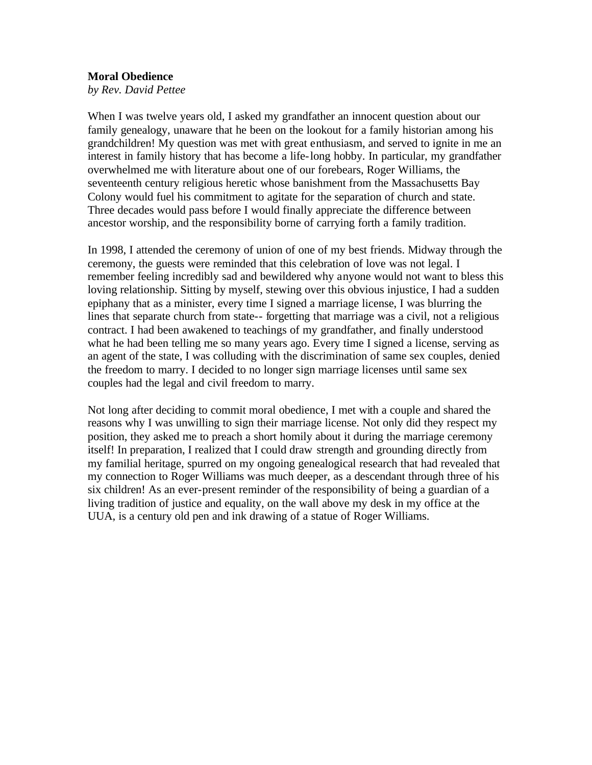#### **Moral Obedience**

*by Rev. David Pettee* 

When I was twelve years old, I asked my grandfather an innocent question about our family genealogy, unaware that he been on the lookout for a family historian among his grandchildren! My question was met with great enthusiasm, and served to ignite in me an interest in family history that has become a life-long hobby. In particular, my grandfather overwhelmed me with literature about one of our forebears, Roger Williams, the seventeenth century religious heretic whose banishment from the Massachusetts Bay Colony would fuel his commitment to agitate for the separation of church and state. Three decades would pass before I would finally appreciate the difference between ancestor worship, and the responsibility borne of carrying forth a family tradition.

In 1998, I attended the ceremony of union of one of my best friends. Midway through the ceremony, the guests were reminded that this celebration of love was not legal. I remember feeling incredibly sad and bewildered why anyone would not want to bless this loving relationship. Sitting by myself, stewing over this obvious injustice, I had a sudden epiphany that as a minister, every time I signed a marriage license, I was blurring the lines that separate church from state-- forgetting that marriage was a civil, not a religious contract. I had been awakened to teachings of my grandfather, and finally understood what he had been telling me so many years ago. Every time I signed a license, serving as an agent of the state, I was colluding with the discrimination of same sex couples, denied the freedom to marry. I decided to no longer sign marriage licenses until same sex couples had the legal and civil freedom to marry.

Not long after deciding to commit moral obedience, I met with a couple and shared the reasons why I was unwilling to sign their marriage license. Not only did they respect my position, they asked me to preach a short homily about it during the marriage ceremony itself! In preparation, I realized that I could draw strength and grounding directly from my familial heritage, spurred on my ongoing genealogical research that had revealed that my connection to Roger Williams was much deeper, as a descendant through three of his six children! As an ever-present reminder of the responsibility of being a guardian of a living tradition of justice and equality, on the wall above my desk in my office at the UUA, is a century old pen and ink drawing of a statue of Roger Williams.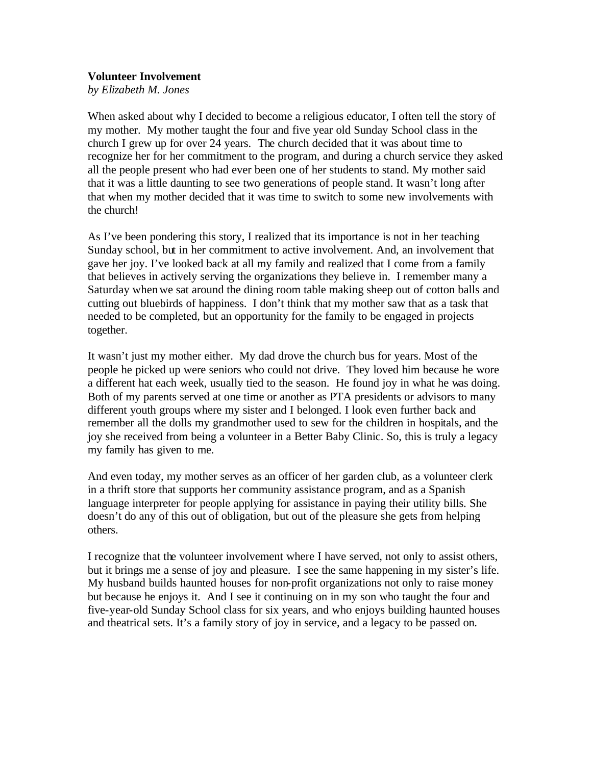#### **Volunteer Involvement**

*by Elizabeth M. Jones*

When asked about why I decided to become a religious educator, I often tell the story of my mother. My mother taught the four and five year old Sunday School class in the church I grew up for over 24 years. The church decided that it was about time to recognize her for her commitment to the program, and during a church service they asked all the people present who had ever been one of her students to stand. My mother said that it was a little daunting to see two generations of people stand. It wasn't long after that when my mother decided that it was time to switch to some new involvements with the church!

As I've been pondering this story, I realized that its importance is not in her teaching Sunday school, but in her commitment to active involvement. And, an involvement that gave her joy. I've looked back at all my family and realized that I come from a family that believes in actively serving the organizations they believe in. I remember many a Saturday when we sat around the dining room table making sheep out of cotton balls and cutting out bluebirds of happiness. I don't think that my mother saw that as a task that needed to be completed, but an opportunity for the family to be engaged in projects together.

It wasn't just my mother either. My dad drove the church bus for years. Most of the people he picked up were seniors who could not drive. They loved him because he wore a different hat each week, usually tied to the season. He found joy in what he was doing. Both of my parents served at one time or another as PTA presidents or advisors to many different youth groups where my sister and I belonged. I look even further back and remember all the dolls my grandmother used to sew for the children in hospitals, and the joy she received from being a volunteer in a Better Baby Clinic. So, this is truly a legacy my family has given to me.

And even today, my mother serves as an officer of her garden club, as a volunteer clerk in a thrift store that supports her community assistance program, and as a Spanish language interpreter for people applying for assistance in paying their utility bills. She doesn't do any of this out of obligation, but out of the pleasure she gets from helping others.

I recognize that the volunteer involvement where I have served, not only to assist others, but it brings me a sense of joy and pleasure. I see the same happening in my sister's life. My husband builds haunted houses for non-profit organizations not only to raise money but because he enjoys it. And I see it continuing on in my son who taught the four and five-year-old Sunday School class for six years, and who enjoys building haunted houses and theatrical sets. It's a family story of joy in service, and a legacy to be passed on.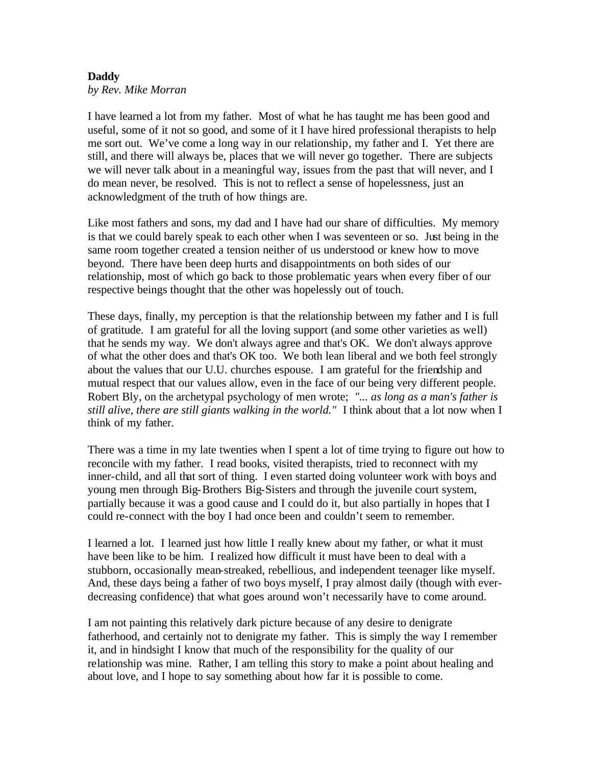## **Daddy**

*by Rev. Mike Morran*

I have learned a lot from my father. Most of what he has taught me has been good and useful, some of it not so good, and some of it I have hired professional therapists to help me sort out. We've come a long way in our relationship, my father and I. Yet there are still, and there will always be, places that we will never go together. There are subjects we will never talk about in a meaningful way, issues from the past that will never, and I do mean never, be resolved. This is not to reflect a sense of hopelessness, just an acknowledgment of the truth of how things are.

Like most fathers and sons, my dad and I have had our share of difficulties. My memory is that we could barely speak to each other when I was seventeen or so. Just being in the same room together created a tension neither of us understood or knew how to move beyond. There have been deep hurts and disappointments on both sides of our relationship, most of which go back to those problematic years when every fiber of our respective beings thought that the other was hopelessly out of touch.

These days, finally, my perception is that the relationship between my father and I is full of gratitude. I am grateful for all the loving support (and some other varieties as well) that he sends my way. We don't always agree and that's OK. We don't always approve of what the other does and that's OK too. We both lean liberal and we both feel strongly about the values that our U.U. churches espouse. I am grateful for the friendship and mutual respect that our values allow, even in the face of our being very different people. Robert Bly, on the archetypal psychology of men wrote; *"... as long as a man's father is still alive, there are still giants walking in the world."* I think about that a lot now when I think of my father.

There was a time in my late twenties when I spent a lot of time trying to figure out how to reconcile with my father. I read books, visited therapists, tried to reconnect with my inner-child, and all that sort of thing. I even started doing volunteer work with boys and young men through Big-Brothers Big-Sisters and through the juvenile court system, partially because it was a good cause and I could do it, but also partially in hopes that I could re-connect with the boy I had once been and couldn't seem to remember.

I learned a lot. I learned just how little I really knew about my father, or what it must have been like to be him. I realized how difficult it must have been to deal with a stubborn, occasionally mean-streaked, rebellious, and independent teenager like myself. And, these days being a father of two boys myself, I pray almost daily (though with everdecreasing confidence) that what goes around won't necessarily have to come around.

I am not painting this relatively dark picture because of any desire to denigrate fatherhood, and certainly not to denigrate my father. This is simply the way I remember it, and in hindsight I know that much of the responsibility for the quality of our relationship was mine. Rather, I am telling this story to make a point about healing and about love, and I hope to say something about how far it is possible to come.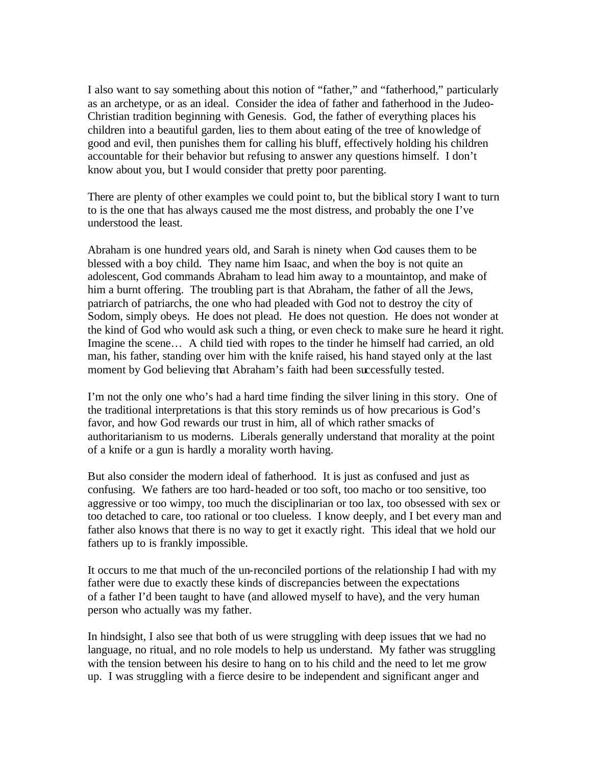I also want to say something about this notion of "father," and "fatherhood," particularly as an archetype, or as an ideal. Consider the idea of father and fatherhood in the Judeo-Christian tradition beginning with Genesis. God, the father of everything places his children into a beautiful garden, lies to them about eating of the tree of knowledge of good and evil, then punishes them for calling his bluff, effectively holding his children accountable for their behavior but refusing to answer any questions himself. I don't know about you, but I would consider that pretty poor parenting.

There are plenty of other examples we could point to, but the biblical story I want to turn to is the one that has always caused me the most distress, and probably the one I've understood the least.

Abraham is one hundred years old, and Sarah is ninety when God causes them to be blessed with a boy child. They name him Isaac, and when the boy is not quite an adolescent, God commands Abraham to lead him away to a mountaintop, and make of him a burnt offering. The troubling part is that Abraham, the father of all the Jews, patriarch of patriarchs, the one who had pleaded with God not to destroy the city of Sodom, simply obeys. He does not plead. He does not question. He does not wonder at the kind of God who would ask such a thing, or even check to make sure he heard it right. Imagine the scene… A child tied with ropes to the tinder he himself had carried, an old man, his father, standing over him with the knife raised, his hand stayed only at the last moment by God believing that Abraham's faith had been successfully tested.

I'm not the only one who's had a hard time finding the silver lining in this story. One of the traditional interpretations is that this story reminds us of how precarious is God's favor, and how God rewards our trust in him, all of which rather smacks of authoritarianism to us moderns. Liberals generally understand that morality at the point of a knife or a gun is hardly a morality worth having.

But also consider the modern ideal of fatherhood. It is just as confused and just as confusing. We fathers are too hard-headed or too soft, too macho or too sensitive, too aggressive or too wimpy, too much the disciplinarian or too lax, too obsessed with sex or too detached to care, too rational or too clueless. I know deeply, and I bet every man and father also knows that there is no way to get it exactly right. This ideal that we hold our fathers up to is frankly impossible.

It occurs to me that much of the un-reconciled portions of the relationship I had with my father were due to exactly these kinds of discrepancies between the expectations of a father I'd been taught to have (and allowed myself to have), and the very human person who actually was my father.

In hindsight, I also see that both of us were struggling with deep issues that we had no language, no ritual, and no role models to help us understand. My father was struggling with the tension between his desire to hang on to his child and the need to let me grow up. I was struggling with a fierce desire to be independent and significant anger and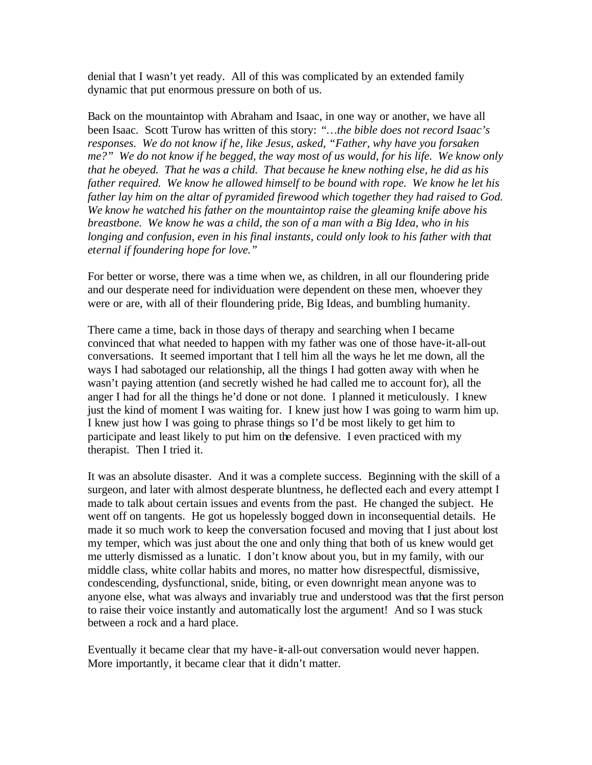denial that I wasn't yet ready. All of this was complicated by an extended family dynamic that put enormous pressure on both of us.

Back on the mountaintop with Abraham and Isaac, in one way or another, we have all been Isaac. Scott Turow has written of this story: *"…the bible does not record Isaac's responses. We do not know if he, like Jesus, asked, "Father, why have you forsaken me?" We do not know if he begged, the way most of us would, for his life. We know only that he obeyed. That he was a child. That because he knew nothing else, he did as his father required. We know he allowed himself to be bound with rope. We know he let his father lay him on the altar of pyramided firewood which together they had raised to God. We know he watched his father on the mountaintop raise the gleaming knife above his breastbone. We know he was a child, the son of a man with a Big Idea, who in his longing and confusion, even in his final instants, could only look to his father with that eternal if foundering hope for love."*

For better or worse, there was a time when we, as children, in all our floundering pride and our desperate need for individuation were dependent on these men, whoever they were or are, with all of their floundering pride, Big Ideas, and bumbling humanity.

There came a time, back in those days of therapy and searching when I became convinced that what needed to happen with my father was one of those have-it-all-out conversations. It seemed important that I tell him all the ways he let me down, all the ways I had sabotaged our relationship, all the things I had gotten away with when he wasn't paying attention (and secretly wished he had called me to account for), all the anger I had for all the things he'd done or not done. I planned it meticulously. I knew just the kind of moment I was waiting for. I knew just how I was going to warm him up. I knew just how I was going to phrase things so I'd be most likely to get him to participate and least likely to put him on the defensive. I even practiced with my therapist. Then I tried it.

It was an absolute disaster. And it was a complete success. Beginning with the skill of a surgeon, and later with almost desperate bluntness, he deflected each and every attempt I made to talk about certain issues and events from the past. He changed the subject. He went off on tangents. He got us hopelessly bogged down in inconsequential details. He made it so much work to keep the conversation focused and moving that I just about lost my temper, which was just about the one and only thing that both of us knew would get me utterly dismissed as a lunatic. I don't know about you, but in my family, with our middle class, white collar habits and mores, no matter how disrespectful, dismissive, condescending, dysfunctional, snide, biting, or even downright mean anyone was to anyone else, what was always and invariably true and understood was that the first person to raise their voice instantly and automatically lost the argument! And so I was stuck between a rock and a hard place.

Eventually it became clear that my have-it-all-out conversation would never happen. More importantly, it became clear that it didn't matter.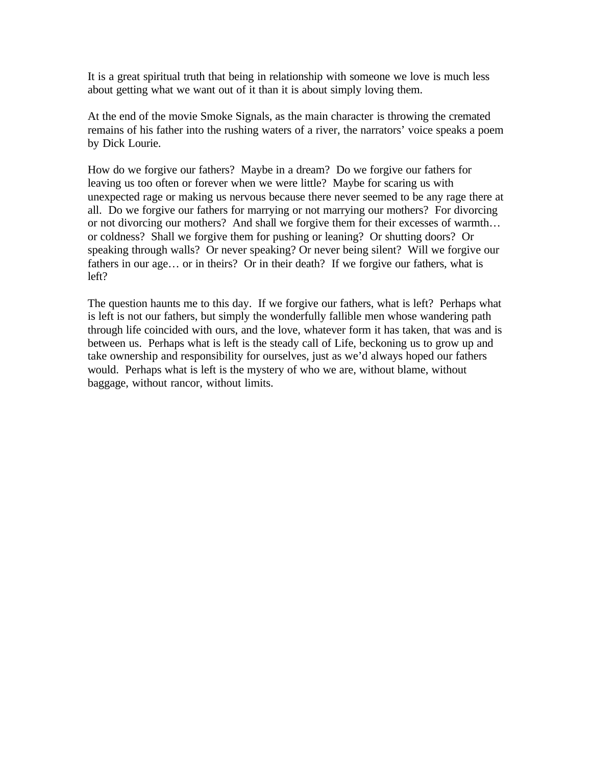It is a great spiritual truth that being in relationship with someone we love is much less about getting what we want out of it than it is about simply loving them.

At the end of the movie Smoke Signals, as the main character is throwing the cremated remains of his father into the rushing waters of a river, the narrators' voice speaks a poem by Dick Lourie.

How do we forgive our fathers? Maybe in a dream? Do we forgive our fathers for leaving us too often or forever when we were little? Maybe for scaring us with unexpected rage or making us nervous because there never seemed to be any rage there at all. Do we forgive our fathers for marrying or not marrying our mothers? For divorcing or not divorcing our mothers? And shall we forgive them for their excesses of warmth… or coldness? Shall we forgive them for pushing or leaning? Or shutting doors? Or speaking through walls? Or never speaking? Or never being silent? Will we forgive our fathers in our age… or in theirs? Or in their death? If we forgive our fathers, what is left?

The question haunts me to this day. If we forgive our fathers, what is left? Perhaps what is left is not our fathers, but simply the wonderfully fallible men whose wandering path through life coincided with ours, and the love, whatever form it has taken, that was and is between us. Perhaps what is left is the steady call of Life, beckoning us to grow up and take ownership and responsibility for ourselves, just as we'd always hoped our fathers would. Perhaps what is left is the mystery of who we are, without blame, without baggage, without rancor, without limits.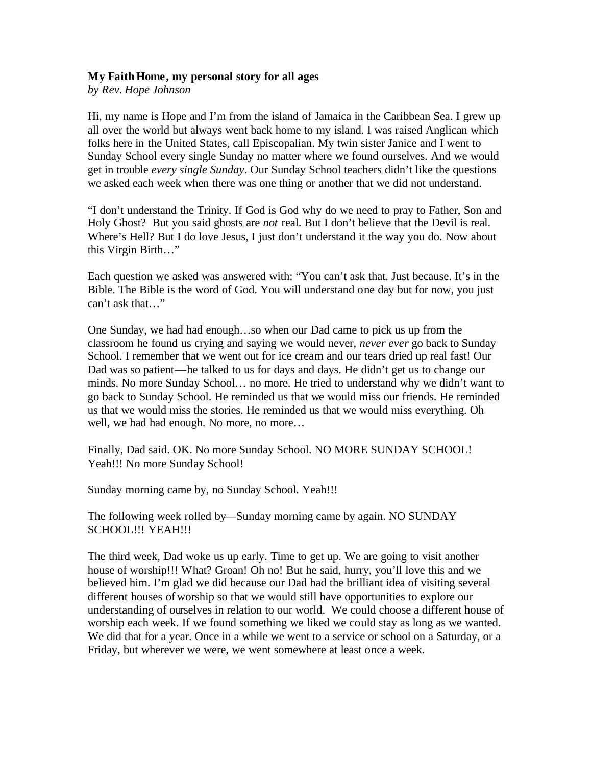#### **My Faith Home, my personal story for all ages**

*by Rev. Hope Johnson*

Hi, my name is Hope and I'm from the island of Jamaica in the Caribbean Sea. I grew up all over the world but always went back home to my island. I was raised Anglican which folks here in the United States, call Episcopalian. My twin sister Janice and I went to Sunday School every single Sunday no matter where we found ourselves. And we would get in trouble *every single Sunday*. Our Sunday School teachers didn't like the questions we asked each week when there was one thing or another that we did not understand.

"I don't understand the Trinity. If God is God why do we need to pray to Father, Son and Holy Ghost? But you said ghosts are *not* real. But I don't believe that the Devil is real. Where's Hell? But I do love Jesus, I just don't understand it the way you do. Now about this Virgin Birth…"

Each question we asked was answered with: "You can't ask that. Just because. It's in the Bible. The Bible is the word of God. You will understand one day but for now, you just can't ask that…"

One Sunday, we had had enough…so when our Dad came to pick us up from the classroom he found us crying and saying we would never, *never ever* go back to Sunday School. I remember that we went out for ice cream and our tears dried up real fast! Our Dad was so patient—he talked to us for days and days. He didn't get us to change our minds. No more Sunday School… no more. He tried to understand why we didn't want to go back to Sunday School. He reminded us that we would miss our friends. He reminded us that we would miss the stories. He reminded us that we would miss everything. Oh well, we had had enough. No more, no more…

Finally, Dad said. OK. No more Sunday School. NO MORE SUNDAY SCHOOL! Yeah!!! No more Sunday School!

Sunday morning came by, no Sunday School. Yeah!!!

The following week rolled by—Sunday morning came by again. NO SUNDAY SCHOOL!!! YEAH!!!

The third week, Dad woke us up early. Time to get up. We are going to visit another house of worship!!! What? Groan! Oh no! But he said, hurry, you'll love this and we believed him. I'm glad we did because our Dad had the brilliant idea of visiting several different houses of worship so that we would still have opportunities to explore our understanding of ourselves in relation to our world. We could choose a different house of worship each week. If we found something we liked we could stay as long as we wanted. We did that for a year. Once in a while we went to a service or school on a Saturday, or a Friday, but wherever we were, we went somewhere at least once a week.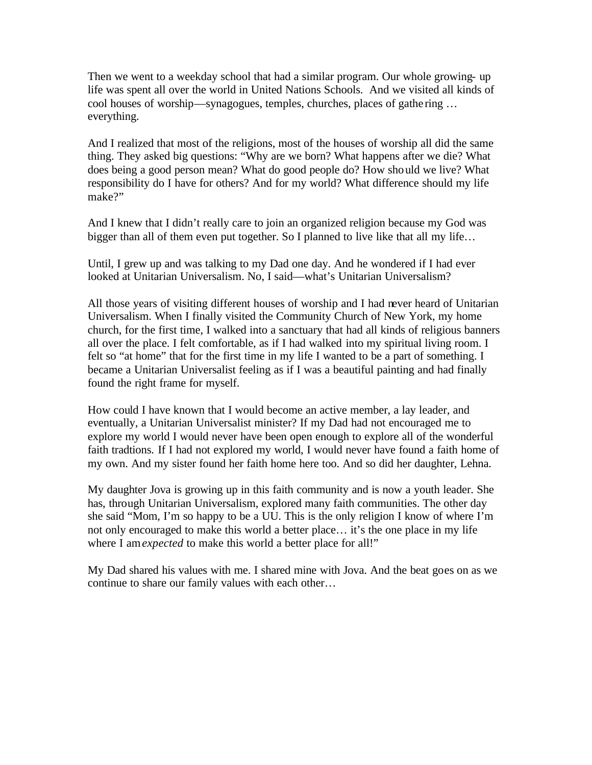Then we went to a weekday school that had a similar program. Our whole growing- up life was spent all over the world in United Nations Schools. And we visited all kinds of cool houses of worship—synagogues, temples, churches, places of gathe ring … everything.

And I realized that most of the religions, most of the houses of worship all did the same thing. They asked big questions: "Why are we born? What happens after we die? What does being a good person mean? What do good people do? How should we live? What responsibility do I have for others? And for my world? What difference should my life make?"

And I knew that I didn't really care to join an organized religion because my God was bigger than all of them even put together. So I planned to live like that all my life...

Until, I grew up and was talking to my Dad one day. And he wondered if I had ever looked at Unitarian Universalism. No, I said—what's Unitarian Universalism?

All those years of visiting different houses of worship and I had never heard of Unitarian Universalism. When I finally visited the Community Church of New York, my home church, for the first time, I walked into a sanctuary that had all kinds of religious banners all over the place. I felt comfortable, as if I had walked into my spiritual living room. I felt so "at home" that for the first time in my life I wanted to be a part of something. I became a Unitarian Universalist feeling as if I was a beautiful painting and had finally found the right frame for myself.

How could I have known that I would become an active member, a lay leader, and eventually, a Unitarian Universalist minister? If my Dad had not encouraged me to explore my world I would never have been open enough to explore all of the wonderful faith tradtions. If I had not explored my world, I would never have found a faith home of my own. And my sister found her faith home here too. And so did her daughter, Lehna.

My daughter Jova is growing up in this faith community and is now a youth leader. She has, through Unitarian Universalism, explored many faith communities. The other day she said "Mom, I'm so happy to be a UU. This is the only religion I know of where I'm not only encouraged to make this world a better place… it's the one place in my life where I am *expected* to make this world a better place for all!"

My Dad shared his values with me. I shared mine with Jova. And the beat goes on as we continue to share our family values with each other…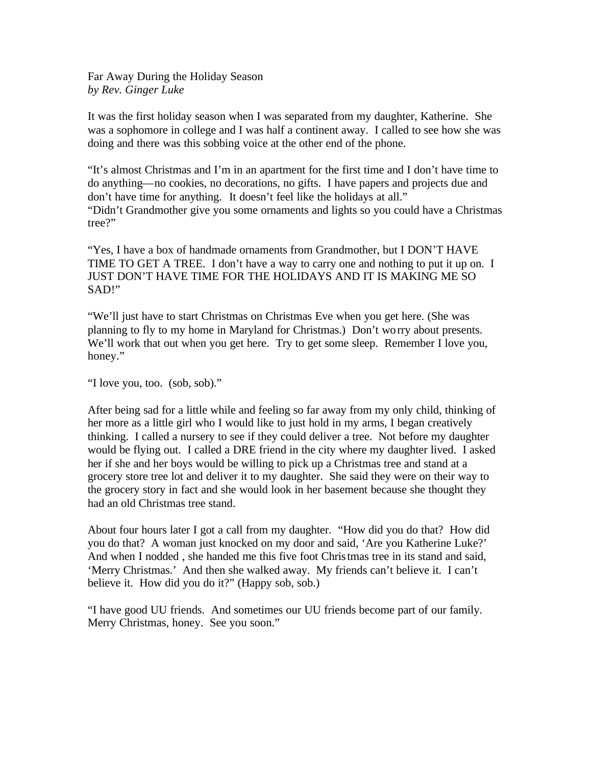Far Away During the Holiday Season *by Rev. Ginger Luke*

It was the first holiday season when I was separated from my daughter, Katherine. She was a sophomore in college and I was half a continent away. I called to see how she was doing and there was this sobbing voice at the other end of the phone.

"It's almost Christmas and I'm in an apartment for the first time and I don't have time to do anything—no cookies, no decorations, no gifts. I have papers and projects due and don't have time for anything. It doesn't feel like the holidays at all." "Didn't Grandmother give you some ornaments and lights so you could have a Christmas tree?"

"Yes, I have a box of handmade ornaments from Grandmother, but I DON'T HAVE TIME TO GET A TREE. I don't have a way to carry one and nothing to put it up on. I JUST DON'T HAVE TIME FOR THE HOLIDAYS AND IT IS MAKING ME SO SAD!"

"We'll just have to start Christmas on Christmas Eve when you get here. (She was planning to fly to my home in Maryland for Christmas.) Don't worry about presents. We'll work that out when you get here. Try to get some sleep. Remember I love you, honey."

"I love you, too. (sob, sob)."

After being sad for a little while and feeling so far away from my only child, thinking of her more as a little girl who I would like to just hold in my arms, I began creatively thinking. I called a nursery to see if they could deliver a tree. Not before my daughter would be flying out. I called a DRE friend in the city where my daughter lived. I asked her if she and her boys would be willing to pick up a Christmas tree and stand at a grocery store tree lot and deliver it to my daughter. She said they were on their way to the grocery story in fact and she would look in her basement because she thought they had an old Christmas tree stand.

About four hours later I got a call from my daughter. "How did you do that? How did you do that? A woman just knocked on my door and said, 'Are you Katherine Luke?' And when I nodded , she handed me this five foot Christmas tree in its stand and said, 'Merry Christmas.' And then she walked away. My friends can't believe it. I can't believe it. How did you do it?" (Happy sob, sob.)

"I have good UU friends. And sometimes our UU friends become part of our family. Merry Christmas, honey. See you soon."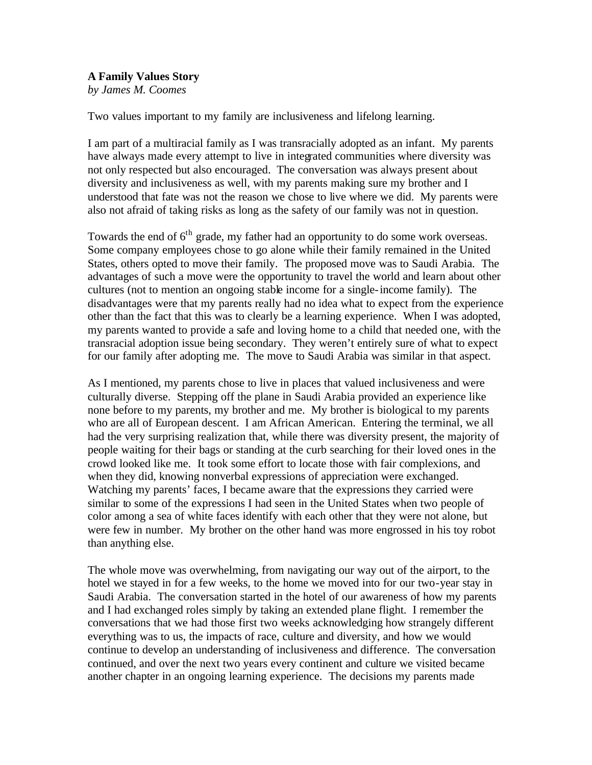### **A Family Values Story**

*by James M. Coomes*

Two values important to my family are inclusiveness and lifelong learning.

I am part of a multiracial family as I was transracially adopted as an infant. My parents have always made every attempt to live in integrated communities where diversity was not only respected but also encouraged. The conversation was always present about diversity and inclusiveness as well, with my parents making sure my brother and I understood that fate was not the reason we chose to live where we did. My parents were also not afraid of taking risks as long as the safety of our family was not in question.

Towards the end of  $6<sup>th</sup>$  grade, my father had an opportunity to do some work overseas. Some company employees chose to go alone while their family remained in the United States, others opted to move their family. The proposed move was to Saudi Arabia. The advantages of such a move were the opportunity to travel the world and learn about other cultures (not to mention an ongoing stable income for a single-income family). The disadvantages were that my parents really had no idea what to expect from the experience other than the fact that this was to clearly be a learning experience. When I was adopted, my parents wanted to provide a safe and loving home to a child that needed one, with the transracial adoption issue being secondary. They weren't entirely sure of what to expect for our family after adopting me. The move to Saudi Arabia was similar in that aspect.

As I mentioned, my parents chose to live in places that valued inclusiveness and were culturally diverse. Stepping off the plane in Saudi Arabia provided an experience like none before to my parents, my brother and me. My brother is biological to my parents who are all of European descent. I am African American. Entering the terminal, we all had the very surprising realization that, while there was diversity present, the majority of people waiting for their bags or standing at the curb searching for their loved ones in the crowd looked like me. It took some effort to locate those with fair complexions, and when they did, knowing nonverbal expressions of appreciation were exchanged. Watching my parents' faces, I became aware that the expressions they carried were similar to some of the expressions I had seen in the United States when two people of color among a sea of white faces identify with each other that they were not alone, but were few in number. My brother on the other hand was more engrossed in his toy robot than anything else.

The whole move was overwhelming, from navigating our way out of the airport, to the hotel we stayed in for a few weeks, to the home we moved into for our two-year stay in Saudi Arabia. The conversation started in the hotel of our awareness of how my parents and I had exchanged roles simply by taking an extended plane flight. I remember the conversations that we had those first two weeks acknowledging how strangely different everything was to us, the impacts of race, culture and diversity, and how we would continue to develop an understanding of inclusiveness and difference. The conversation continued, and over the next two years every continent and culture we visited became another chapter in an ongoing learning experience. The decisions my parents made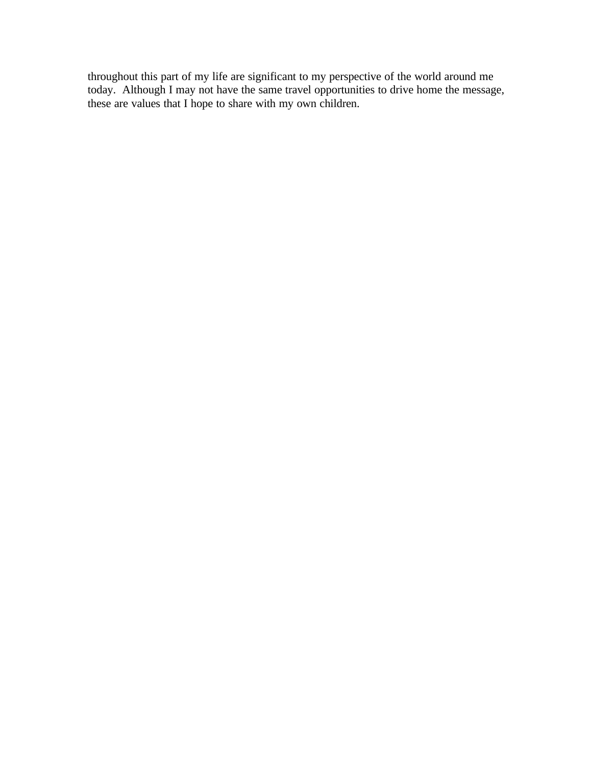throughout this part of my life are significant to my perspective of the world around me today. Although I may not have the same travel opportunities to drive home the message, these are values that I hope to share with my own children.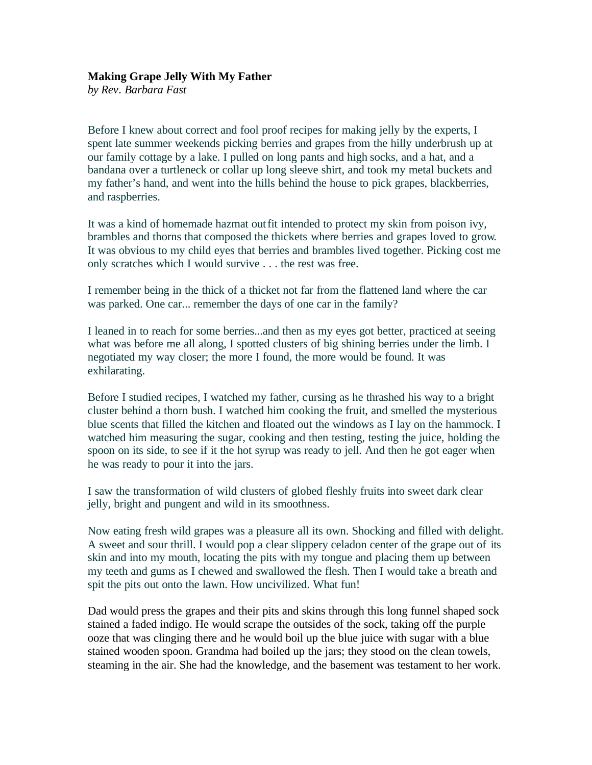#### **Making Grape Jelly With My Father**

*by Rev. Barbara Fast*

Before I knew about correct and fool proof recipes for making jelly by the experts, I spent late summer weekends picking berries and grapes from the hilly underbrush up at our family cottage by a lake. I pulled on long pants and high socks, and a hat, and a bandana over a turtleneck or collar up long sleeve shirt, and took my metal buckets and my father's hand, and went into the hills behind the house to pick grapes, blackberries, and raspberries.

It was a kind of homemade hazmat outfit intended to protect my skin from poison ivy, brambles and thorns that composed the thickets where berries and grapes loved to grow. It was obvious to my child eyes that berries and brambles lived together. Picking cost me only scratches which I would survive . . . the rest was free.

I remember being in the thick of a thicket not far from the flattened land where the car was parked. One car... remember the days of one car in the family?

I leaned in to reach for some berries...and then as my eyes got better, practiced at seeing what was before me all along, I spotted clusters of big shining berries under the limb. I negotiated my way closer; the more I found, the more would be found. It was exhilarating.

Before I studied recipes, I watched my father, cursing as he thrashed his way to a bright cluster behind a thorn bush. I watched him cooking the fruit, and smelled the mysterious blue scents that filled the kitchen and floated out the windows as I lay on the hammock. I watched him measuring the sugar, cooking and then testing, testing the juice, holding the spoon on its side, to see if it the hot syrup was ready to jell. And then he got eager when he was ready to pour it into the jars.

I saw the transformation of wild clusters of globed fleshly fruits into sweet dark clear jelly, bright and pungent and wild in its smoothness.

Now eating fresh wild grapes was a pleasure all its own. Shocking and filled with delight. A sweet and sour thrill. I would pop a clear slippery celadon center of the grape out of its skin and into my mouth, locating the pits with my tongue and placing them up between my teeth and gums as I chewed and swallowed the flesh. Then I would take a breath and spit the pits out onto the lawn. How uncivilized. What fun!

Dad would press the grapes and their pits and skins through this long funnel shaped sock stained a faded indigo. He would scrape the outsides of the sock, taking off the purple ooze that was clinging there and he would boil up the blue juice with sugar with a blue stained wooden spoon. Grandma had boiled up the jars; they stood on the clean towels, steaming in the air. She had the knowledge, and the basement was testament to her work.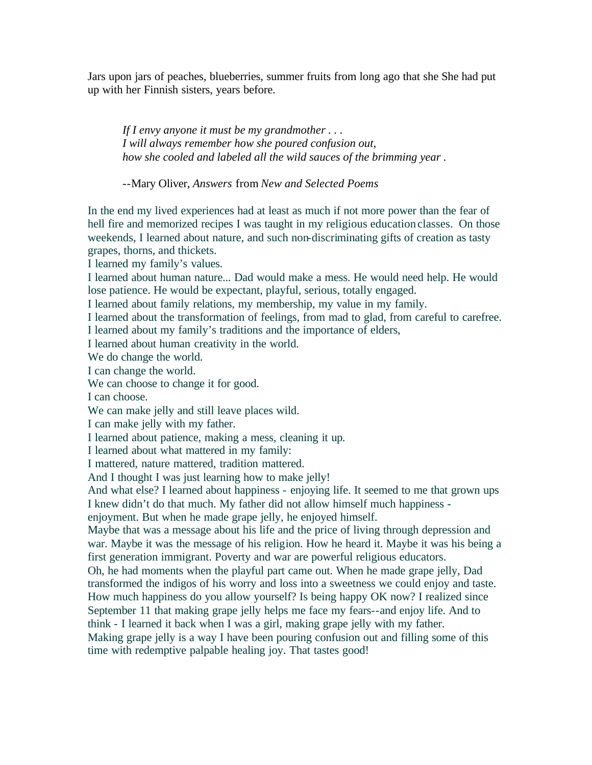Jars upon jars of peaches, blueberries, summer fruits from long ago that she She had put up with her Finnish sisters, years before.

*If I envy anyone it must be my grandmother . . . I will always remember how she poured confusion out, how she cooled and labeled all the wild sauces of the brimming year .*

--Mary Oliver, *Answers* from *New and Selected Poems*

In the end my lived experiences had at least as much if not more power than the fear of hell fire and memorized recipes I was taught in my religious education classes. On those weekends, I learned about nature, and such non-discriminating gifts of creation as tasty grapes, thorns, and thickets.

I learned my family's values.

I learned about human nature... Dad would make a mess. He would need help. He would lose patience. He would be expectant, playful, serious, totally engaged.

I learned about family relations, my membership, my value in my family.

I learned about the transformation of feelings, from mad to glad, from careful to carefree. I learned about my family's traditions and the importance of elders,

I learned about human creativity in the world.

We do change the world.

I can change the world.

We can choose to change it for good.

I can choose.

We can make jelly and still leave places wild.

I can make jelly with my father.

I learned about patience, making a mess, cleaning it up.

I learned about what mattered in my family:

I mattered, nature mattered, tradition mattered.

And I thought I was just learning how to make jelly!

And what else? I learned about happiness - enjoying life. It seemed to me that grown ups I knew didn't do that much. My father did not allow himself much happiness -

enjoyment. But when he made grape jelly, he enjoyed himself.

Maybe that was a message about his life and the price of living through depression and war. Maybe it was the message of his religion. How he heard it. Maybe it was his being a first generation immigrant. Poverty and war are powerful religious educators.

Oh, he had moments when the playful part came out. When he made grape jelly, Dad transformed the indigos of his worry and loss into a sweetness we could enjoy and taste. How much happiness do you allow yourself? Is being happy OK now? I realized since September 11 that making grape jelly helps me face my fears--and enjoy life. And to

think - I learned it back when I was a girl, making grape jelly with my father.

Making grape jelly is a way I have been pouring confusion out and filling some of this time with redemptive palpable healing joy. That tastes good!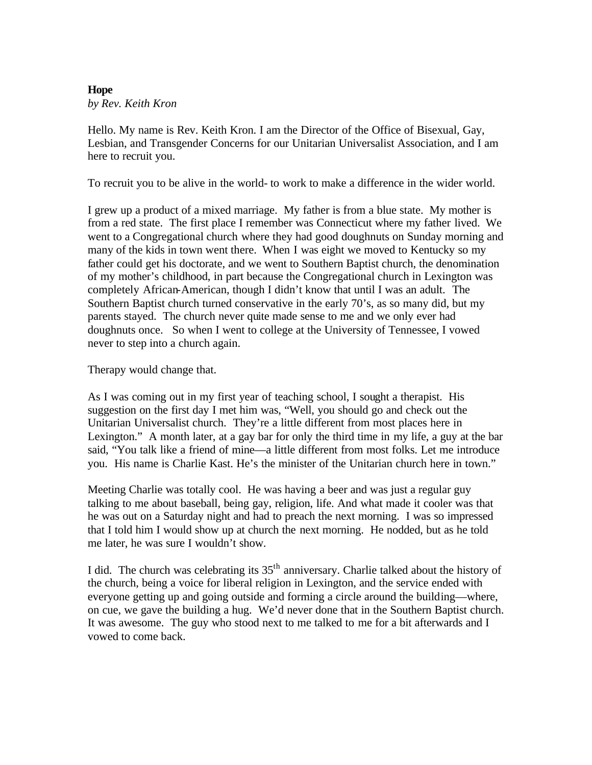#### **Hope** *by Rev. Keith Kron*

Hello. My name is Rev. Keith Kron. I am the Director of the Office of Bisexual, Gay, Lesbian, and Transgender Concerns for our Unitarian Universalist Association, and I am here to recruit you.

To recruit you to be alive in the world- to work to make a difference in the wider world.

I grew up a product of a mixed marriage. My father is from a blue state. My mother is from a red state. The first place I remember was Connecticut where my father lived. We went to a Congregational church where they had good doughnuts on Sunday morning and many of the kids in town went there. When I was eight we moved to Kentucky so my father could get his doctorate, and we went to Southern Baptist church, the denomination of my mother's childhood, in part because the Congregational church in Lexington was completely African-American, though I didn't know that until I was an adult. The Southern Baptist church turned conservative in the early 70's, as so many did, but my parents stayed. The church never quite made sense to me and we only ever had doughnuts once. So when I went to college at the University of Tennessee, I vowed never to step into a church again.

Therapy would change that.

As I was coming out in my first year of teaching school, I sought a therapist. His suggestion on the first day I met him was, "Well, you should go and check out the Unitarian Universalist church. They're a little different from most places here in Lexington." A month later, at a gay bar for only the third time in my life, a guy at the bar said, "You talk like a friend of mine—a little different from most folks. Let me introduce you. His name is Charlie Kast. He's the minister of the Unitarian church here in town."

Meeting Charlie was totally cool. He was having a beer and was just a regular guy talking to me about baseball, being gay, religion, life. And what made it cooler was that he was out on a Saturday night and had to preach the next morning. I was so impressed that I told him I would show up at church the next morning. He nodded, but as he told me later, he was sure I wouldn't show.

I did. The church was celebrating its  $35<sup>th</sup>$  anniversary. Charlie talked about the history of the church, being a voice for liberal religion in Lexington, and the service ended with everyone getting up and going outside and forming a circle around the building—where, on cue, we gave the building a hug. We'd never done that in the Southern Baptist church. It was awesome. The guy who stood next to me talked to me for a bit afterwards and I vowed to come back.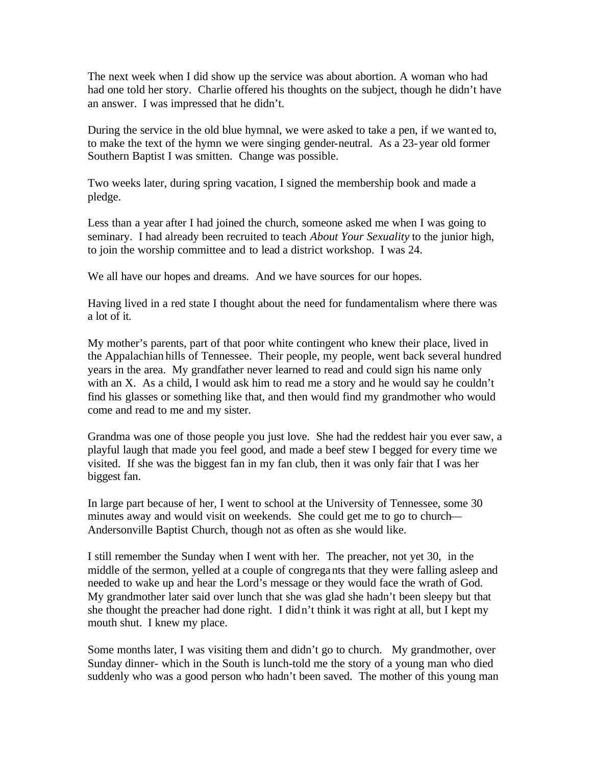The next week when I did show up the service was about abortion. A woman who had had one told her story. Charlie offered his thoughts on the subject, though he didn't have an answer. I was impressed that he didn't.

During the service in the old blue hymnal, we were asked to take a pen, if we want ed to, to make the text of the hymn we were singing gender-neutral. As a 23-year old former Southern Baptist I was smitten. Change was possible.

Two weeks later, during spring vacation, I signed the membership book and made a pledge.

Less than a year after I had joined the church, someone asked me when I was going to seminary. I had already been recruited to teach *About Your Sexuality* to the junior high, to join the worship committee and to lead a district workshop. I was 24.

We all have our hopes and dreams. And we have sources for our hopes.

Having lived in a red state I thought about the need for fundamentalism where there was a lot of it.

My mother's parents, part of that poor white contingent who knew their place, lived in the Appalachian hills of Tennessee. Their people, my people, went back several hundred years in the area. My grandfather never learned to read and could sign his name only with an X. As a child, I would ask him to read me a story and he would say he couldn't find his glasses or something like that, and then would find my grandmother who would come and read to me and my sister.

Grandma was one of those people you just love. She had the reddest hair you ever saw, a playful laugh that made you feel good, and made a beef stew I begged for every time we visited. If she was the biggest fan in my fan club, then it was only fair that I was her biggest fan.

In large part because of her, I went to school at the University of Tennessee, some 30 minutes away and would visit on weekends. She could get me to go to church— Andersonville Baptist Church, though not as often as she would like.

I still remember the Sunday when I went with her. The preacher, not yet 30, in the middle of the sermon, yelled at a couple of congregants that they were falling asleep and needed to wake up and hear the Lord's message or they would face the wrath of God. My grandmother later said over lunch that she was glad she hadn't been sleepy but that she thought the preacher had done right. I didn't think it was right at all, but I kept my mouth shut. I knew my place.

Some months later, I was visiting them and didn't go to church. My grandmother, over Sunday dinner- which in the South is lunch-told me the story of a young man who died suddenly who was a good person who hadn't been saved. The mother of this young man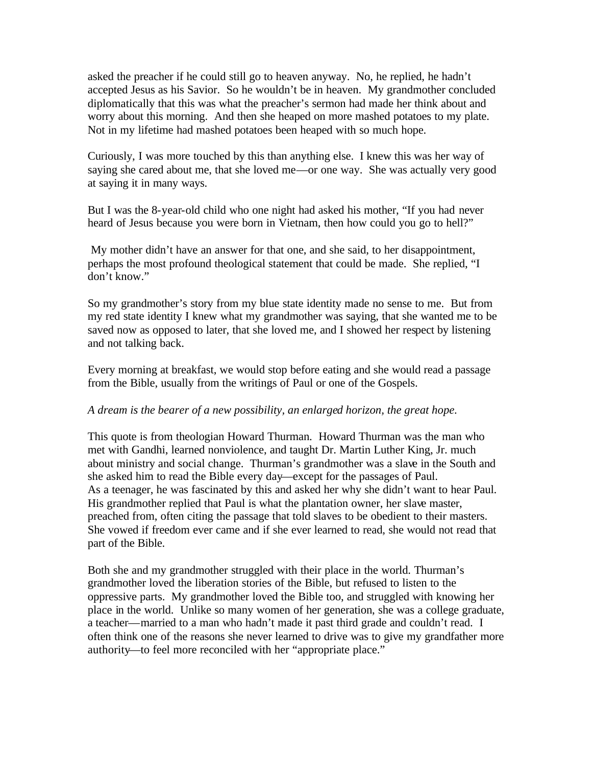asked the preacher if he could still go to heaven anyway. No, he replied, he hadn't accepted Jesus as his Savior. So he wouldn't be in heaven. My grandmother concluded diplomatically that this was what the preacher's sermon had made her think about and worry about this morning. And then she heaped on more mashed potatoes to my plate. Not in my lifetime had mashed potatoes been heaped with so much hope.

Curiously, I was more touched by this than anything else. I knew this was her way of saying she cared about me, that she loved me—or one way. She was actually very good at saying it in many ways.

But I was the 8-year-old child who one night had asked his mother, "If you had never heard of Jesus because you were born in Vietnam, then how could you go to hell?"

 My mother didn't have an answer for that one, and she said, to her disappointment, perhaps the most profound theological statement that could be made. She replied, "I don't know."

So my grandmother's story from my blue state identity made no sense to me. But from my red state identity I knew what my grandmother was saying, that she wanted me to be saved now as opposed to later, that she loved me, and I showed her respect by listening and not talking back.

Every morning at breakfast, we would stop before eating and she would read a passage from the Bible, usually from the writings of Paul or one of the Gospels.

#### *A dream is the bearer of a new possibility, an enlarged horizon, the great hope.*

This quote is from theologian Howard Thurman. Howard Thurman was the man who met with Gandhi, learned nonviolence, and taught Dr. Martin Luther King, Jr. much about ministry and social change. Thurman's grandmother was a slave in the South and she asked him to read the Bible every day—except for the passages of Paul. As a teenager, he was fascinated by this and asked her why she didn't want to hear Paul. His grandmother replied that Paul is what the plantation owner, her slave master, preached from, often citing the passage that told slaves to be obedient to their masters. She vowed if freedom ever came and if she ever learned to read, she would not read that part of the Bible.

Both she and my grandmother struggled with their place in the world. Thurman's grandmother loved the liberation stories of the Bible, but refused to listen to the oppressive parts. My grandmother loved the Bible too, and struggled with knowing her place in the world. Unlike so many women of her generation, she was a college graduate, a teacher—married to a man who hadn't made it past third grade and couldn't read. I often think one of the reasons she never learned to drive was to give my grandfather more authority—to feel more reconciled with her "appropriate place."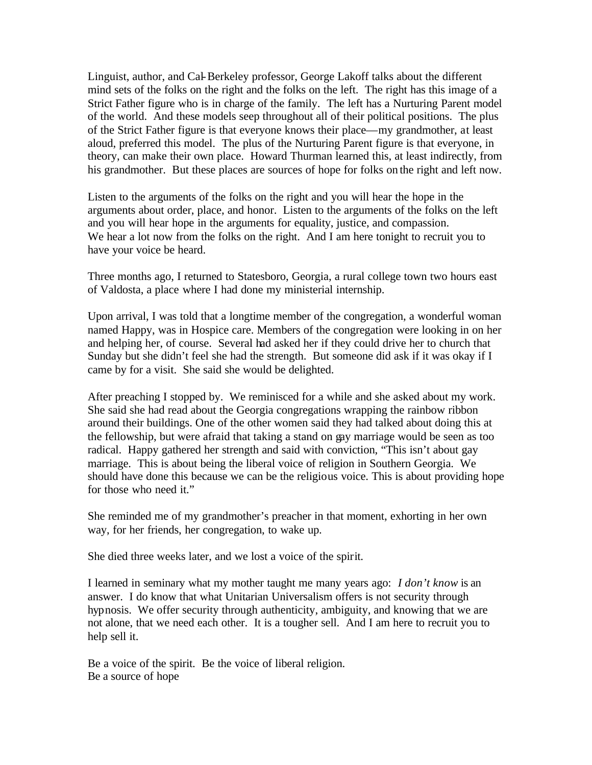Linguist, author, and Cal-Berkeley professor, George Lakoff talks about the different mind sets of the folks on the right and the folks on the left. The right has this image of a Strict Father figure who is in charge of the family. The left has a Nurturing Parent model of the world. And these models seep throughout all of their political positions. The plus of the Strict Father figure is that everyone knows their place—my grandmother, at least aloud, preferred this model. The plus of the Nurturing Parent figure is that everyone, in theory, can make their own place. Howard Thurman learned this, at least indirectly, from his grandmother. But these places are sources of hope for folks on the right and left now.

Listen to the arguments of the folks on the right and you will hear the hope in the arguments about order, place, and honor. Listen to the arguments of the folks on the left and you will hear hope in the arguments for equality, justice, and compassion. We hear a lot now from the folks on the right. And I am here tonight to recruit you to have your voice be heard.

Three months ago, I returned to Statesboro, Georgia, a rural college town two hours east of Valdosta, a place where I had done my ministerial internship.

Upon arrival, I was told that a longtime member of the congregation, a wonderful woman named Happy, was in Hospice care. Members of the congregation were looking in on her and helping her, of course. Several had asked her if they could drive her to church that Sunday but she didn't feel she had the strength. But someone did ask if it was okay if I came by for a visit. She said she would be delighted.

After preaching I stopped by. We reminisced for a while and she asked about my work. She said she had read about the Georgia congregations wrapping the rainbow ribbon around their buildings. One of the other women said they had talked about doing this at the fellowship, but were afraid that taking a stand on gay marriage would be seen as too radical. Happy gathered her strength and said with conviction, "This isn't about gay marriage. This is about being the liberal voice of religion in Southern Georgia. We should have done this because we can be the religious voice. This is about providing hope for those who need it."

She reminded me of my grandmother's preacher in that moment, exhorting in her own way, for her friends, her congregation, to wake up.

She died three weeks later, and we lost a voice of the spirit.

I learned in seminary what my mother taught me many years ago: *I don't know* is an answer. I do know that what Unitarian Universalism offers is not security through hypnosis. We offer security through authenticity, ambiguity, and knowing that we are not alone, that we need each other. It is a tougher sell. And I am here to recruit you to help sell it.

Be a voice of the spirit. Be the voice of liberal religion. Be a source of hope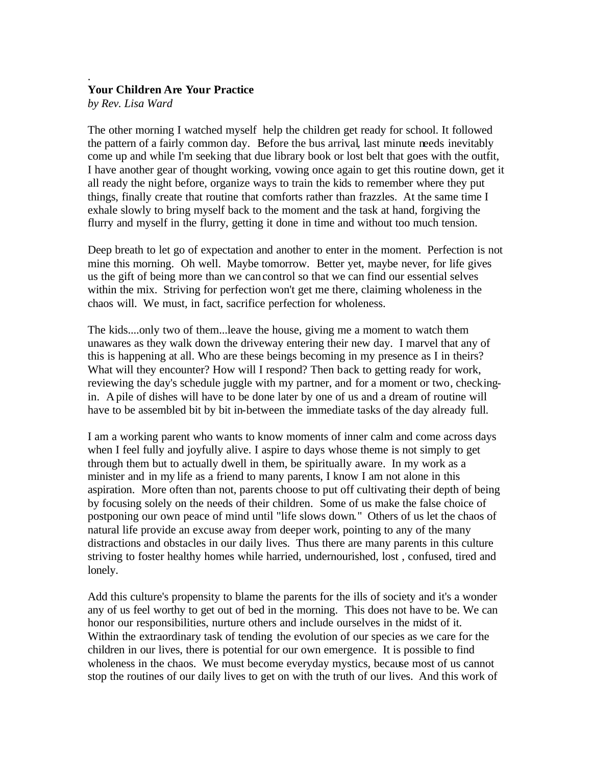#### . **Your Children Are Your Practice**

*by Rev. Lisa Ward*

The other morning I watched myself help the children get ready for school. It followed the pattern of a fairly common day. Before the bus arrival, last minute needs inevitably come up and while I'm seeking that due library book or lost belt that goes with the outfit, I have another gear of thought working, vowing once again to get this routine down, get it all ready the night before, organize ways to train the kids to remember where they put things, finally create that routine that comforts rather than frazzles. At the same time I exhale slowly to bring myself back to the moment and the task at hand, forgiving the flurry and myself in the flurry, getting it done in time and without too much tension.

Deep breath to let go of expectation and another to enter in the moment. Perfection is not mine this morning. Oh well. Maybe tomorrow. Better yet, maybe never, for life gives us the gift of being more than we can control so that we can find our essential selves within the mix. Striving for perfection won't get me there, claiming wholeness in the chaos will. We must, in fact, sacrifice perfection for wholeness.

The kids....only two of them...leave the house, giving me a moment to watch them unawares as they walk down the driveway entering their new day. I marvel that any of this is happening at all. Who are these beings becoming in my presence as I in theirs? What will they encounter? How will I respond? Then back to getting ready for work, reviewing the day's schedule juggle with my partner, and for a moment or two, checkingin. A pile of dishes will have to be done later by one of us and a dream of routine will have to be assembled bit by bit in-between the immediate tasks of the day already full.

I am a working parent who wants to know moments of inner calm and come across days when I feel fully and joyfully alive. I aspire to days whose theme is not simply to get through them but to actually dwell in them, be spiritually aware. In my work as a minister and in my life as a friend to many parents, I know I am not alone in this aspiration. More often than not, parents choose to put off cultivating their depth of being by focusing solely on the needs of their children. Some of us make the false choice of postponing our own peace of mind until "life slows down." Others of us let the chaos of natural life provide an excuse away from deeper work, pointing to any of the many distractions and obstacles in our daily lives. Thus there are many parents in this culture striving to foster healthy homes while harried, undernourished, lost , confused, tired and lonely.

Add this culture's propensity to blame the parents for the ills of society and it's a wonder any of us feel worthy to get out of bed in the morning. This does not have to be. We can honor our responsibilities, nurture others and include ourselves in the midst of it. Within the extraordinary task of tending the evolution of our species as we care for the children in our lives, there is potential for our own emergence. It is possible to find wholeness in the chaos. We must become everyday mystics, because most of us cannot stop the routines of our daily lives to get on with the truth of our lives. And this work of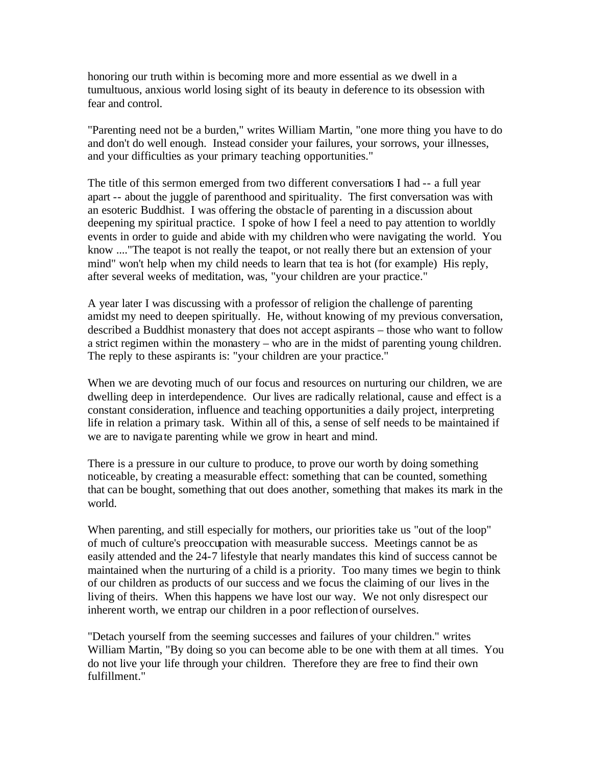honoring our truth within is becoming more and more essential as we dwell in a tumultuous, anxious world losing sight of its beauty in deference to its obsession with fear and control.

"Parenting need not be a burden," writes William Martin, "one more thing you have to do and don't do well enough. Instead consider your failures, your sorrows, your illnesses, and your difficulties as your primary teaching opportunities."

The title of this sermon emerged from two different conversations I had -- a full year apart -- about the juggle of parenthood and spirituality. The first conversation was with an esoteric Buddhist. I was offering the obstacle of parenting in a discussion about deepening my spiritual practice. I spoke of how I feel a need to pay attention to worldly events in order to guide and abide with my children who were navigating the world. You know ...."The teapot is not really the teapot, or not really there but an extension of your mind" won't help when my child needs to learn that tea is hot (for example) His reply, after several weeks of meditation, was, "your children are your practice."

A year later I was discussing with a professor of religion the challenge of parenting amidst my need to deepen spiritually. He, without knowing of my previous conversation, described a Buddhist monastery that does not accept aspirants – those who want to follow a strict regimen within the monastery – who are in the midst of parenting young children. The reply to these aspirants is: "your children are your practice."

When we are devoting much of our focus and resources on nurturing our children, we are dwelling deep in interdependence. Our lives are radically relational, cause and effect is a constant consideration, influence and teaching opportunities a daily project, interpreting life in relation a primary task. Within all of this, a sense of self needs to be maintained if we are to navigate parenting while we grow in heart and mind.

There is a pressure in our culture to produce, to prove our worth by doing something noticeable, by creating a measurable effect: something that can be counted, something that can be bought, something that out does another, something that makes its mark in the world.

When parenting, and still especially for mothers, our priorities take us "out of the loop" of much of culture's preoccupation with measurable success. Meetings cannot be as easily attended and the 24-7 lifestyle that nearly mandates this kind of success cannot be maintained when the nurturing of a child is a priority. Too many times we begin to think of our children as products of our success and we focus the claiming of our lives in the living of theirs. When this happens we have lost our way. We not only disrespect our inherent worth, we entrap our children in a poor reflection of ourselves.

"Detach yourself from the seeming successes and failures of your children." writes William Martin, "By doing so you can become able to be one with them at all times. You do not live your life through your children. Therefore they are free to find their own fulfillment."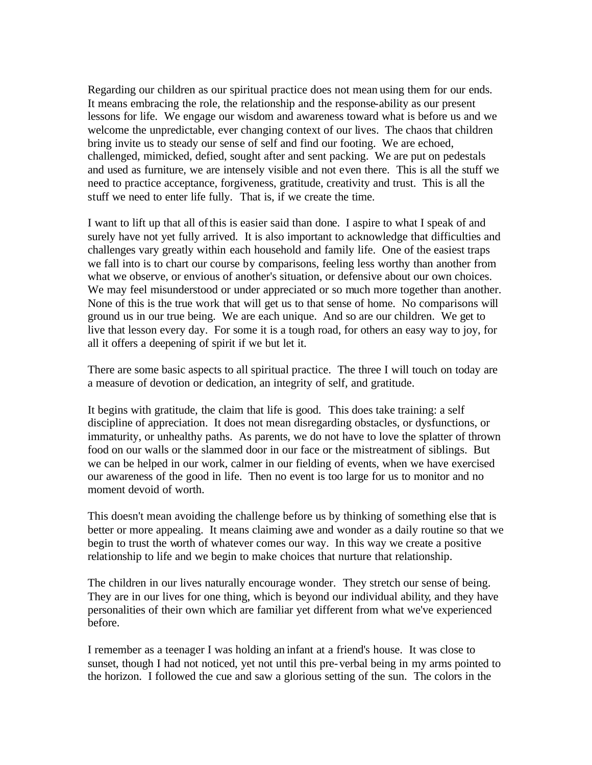Regarding our children as our spiritual practice does not mean using them for our ends. It means embracing the role, the relationship and the response-ability as our present lessons for life. We engage our wisdom and awareness toward what is before us and we welcome the unpredictable, ever changing context of our lives. The chaos that children bring invite us to steady our sense of self and find our footing. We are echoed, challenged, mimicked, defied, sought after and sent packing. We are put on pedestals and used as furniture, we are intensely visible and not even there. This is all the stuff we need to practice acceptance, forgiveness, gratitude, creativity and trust. This is all the stuff we need to enter life fully. That is, if we create the time.

I want to lift up that all of this is easier said than done. I aspire to what I speak of and surely have not yet fully arrived. It is also important to acknowledge that difficulties and challenges vary greatly within each household and family life. One of the easiest traps we fall into is to chart our course by comparisons, feeling less worthy than another from what we observe, or envious of another's situation, or defensive about our own choices. We may feel misunderstood or under appreciated or so much more together than another. None of this is the true work that will get us to that sense of home. No comparisons will ground us in our true being. We are each unique. And so are our children. We get to live that lesson every day. For some it is a tough road, for others an easy way to joy, for all it offers a deepening of spirit if we but let it.

There are some basic aspects to all spiritual practice. The three I will touch on today are a measure of devotion or dedication, an integrity of self, and gratitude.

It begins with gratitude, the claim that life is good. This does take training: a self discipline of appreciation. It does not mean disregarding obstacles, or dysfunctions, or immaturity, or unhealthy paths. As parents, we do not have to love the splatter of thrown food on our walls or the slammed door in our face or the mistreatment of siblings. But we can be helped in our work, calmer in our fielding of events, when we have exercised our awareness of the good in life. Then no event is too large for us to monitor and no moment devoid of worth.

This doesn't mean avoiding the challenge before us by thinking of something else that is better or more appealing. It means claiming awe and wonder as a daily routine so that we begin to trust the worth of whatever comes our way. In this way we create a positive relationship to life and we begin to make choices that nurture that relationship.

The children in our lives naturally encourage wonder. They stretch our sense of being. They are in our lives for one thing, which is beyond our individual ability, and they have personalities of their own which are familiar yet different from what we've experienced before.

I remember as a teenager I was holding an infant at a friend's house. It was close to sunset, though I had not noticed, yet not until this pre-verbal being in my arms pointed to the horizon. I followed the cue and saw a glorious setting of the sun. The colors in the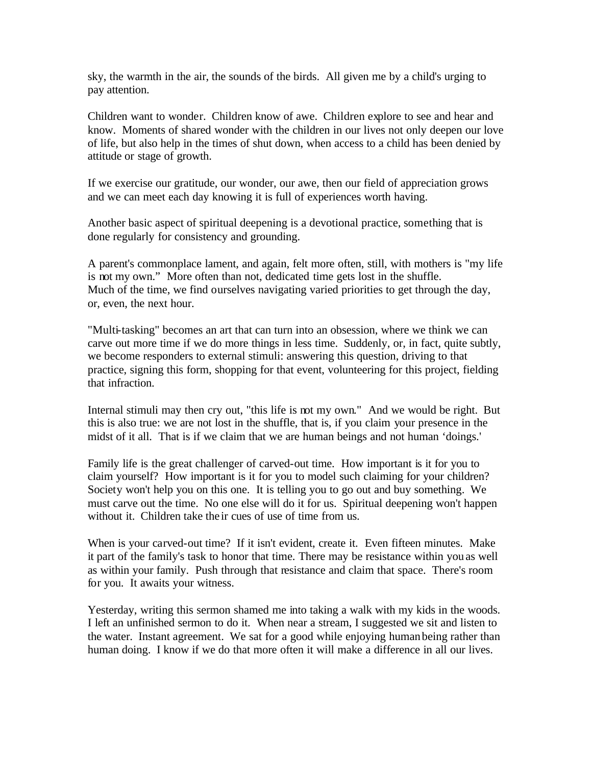sky, the warmth in the air, the sounds of the birds. All given me by a child's urging to pay attention.

Children want to wonder. Children know of awe. Children explore to see and hear and know. Moments of shared wonder with the children in our lives not only deepen our love of life, but also help in the times of shut down, when access to a child has been denied by attitude or stage of growth.

If we exercise our gratitude, our wonder, our awe, then our field of appreciation grows and we can meet each day knowing it is full of experiences worth having.

Another basic aspect of spiritual deepening is a devotional practice, something that is done regularly for consistency and grounding.

A parent's commonplace lament, and again, felt more often, still, with mothers is "my life is not my own." More often than not, dedicated time gets lost in the shuffle. Much of the time, we find ourselves navigating varied priorities to get through the day, or, even, the next hour.

"Multi-tasking" becomes an art that can turn into an obsession, where we think we can carve out more time if we do more things in less time. Suddenly, or, in fact, quite subtly, we become responders to external stimuli: answering this question, driving to that practice, signing this form, shopping for that event, volunteering for this project, fielding that infraction.

Internal stimuli may then cry out, "this life is not my own." And we would be right. But this is also true: we are not lost in the shuffle, that is, if you claim your presence in the midst of it all. That is if we claim that we are human beings and not human 'doings.'

Family life is the great challenger of carved-out time. How important is it for you to claim yourself? How important is it for you to model such claiming for your children? Society won't help you on this one. It is telling you to go out and buy something. We must carve out the time. No one else will do it for us. Spiritual deepening won't happen without it. Children take the ir cues of use of time from us.

When is your carved-out time? If it isn't evident, create it. Even fifteen minutes. Make it part of the family's task to honor that time. There may be resistance within you as well as within your family. Push through that resistance and claim that space. There's room for you. It awaits your witness.

Yesterday, writing this sermon shamed me into taking a walk with my kids in the woods. I left an unfinished sermon to do it. When near a stream, I suggested we sit and listen to the water. Instant agreement. We sat for a good while enjoying human being rather than human doing. I know if we do that more often it will make a difference in all our lives.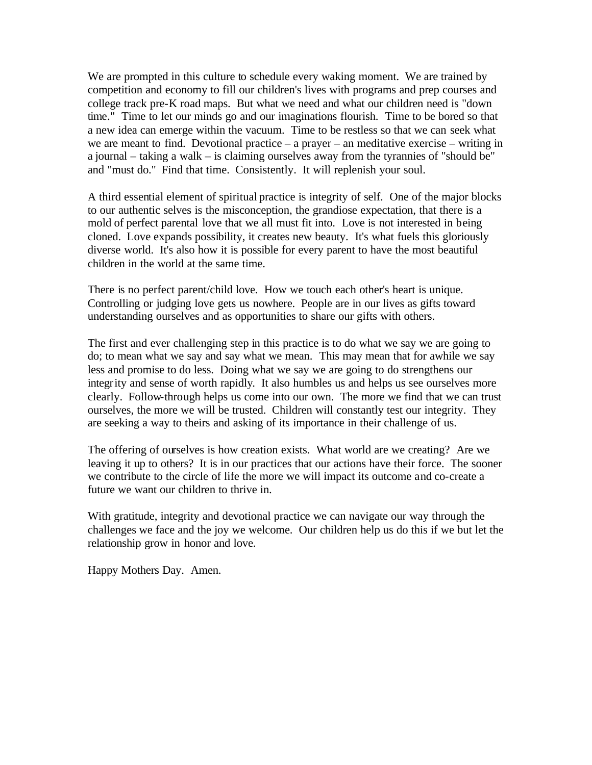We are prompted in this culture to schedule every waking moment. We are trained by competition and economy to fill our children's lives with programs and prep courses and college track pre-K road maps. But what we need and what our children need is "down time." Time to let our minds go and our imaginations flourish. Time to be bored so that a new idea can emerge within the vacuum. Time to be restless so that we can seek what we are meant to find. Devotional practice – a prayer – an meditative exercise – writing in a journal – taking a walk – is claiming ourselves away from the tyrannies of "should be" and "must do." Find that time. Consistently. It will replenish your soul.

A third essential element of spiritual practice is integrity of self. One of the major blocks to our authentic selves is the misconception, the grandiose expectation, that there is a mold of perfect parental love that we all must fit into. Love is not interested in being cloned. Love expands possibility, it creates new beauty. It's what fuels this gloriously diverse world. It's also how it is possible for every parent to have the most beautiful children in the world at the same time.

There is no perfect parent/child love. How we touch each other's heart is unique. Controlling or judging love gets us nowhere. People are in our lives as gifts toward understanding ourselves and as opportunities to share our gifts with others.

The first and ever challenging step in this practice is to do what we say we are going to do; to mean what we say and say what we mean. This may mean that for awhile we say less and promise to do less. Doing what we say we are going to do strengthens our integrity and sense of worth rapidly. It also humbles us and helps us see ourselves more clearly. Follow-through helps us come into our own. The more we find that we can trust ourselves, the more we will be trusted. Children will constantly test our integrity. They are seeking a way to theirs and asking of its importance in their challenge of us.

The offering of ourselves is how creation exists. What world are we creating? Are we leaving it up to others? It is in our practices that our actions have their force. The sooner we contribute to the circle of life the more we will impact its outcome and co-create a future we want our children to thrive in.

With gratitude, integrity and devotional practice we can navigate our way through the challenges we face and the joy we welcome. Our children help us do this if we but let the relationship grow in honor and love.

Happy Mothers Day. Amen.